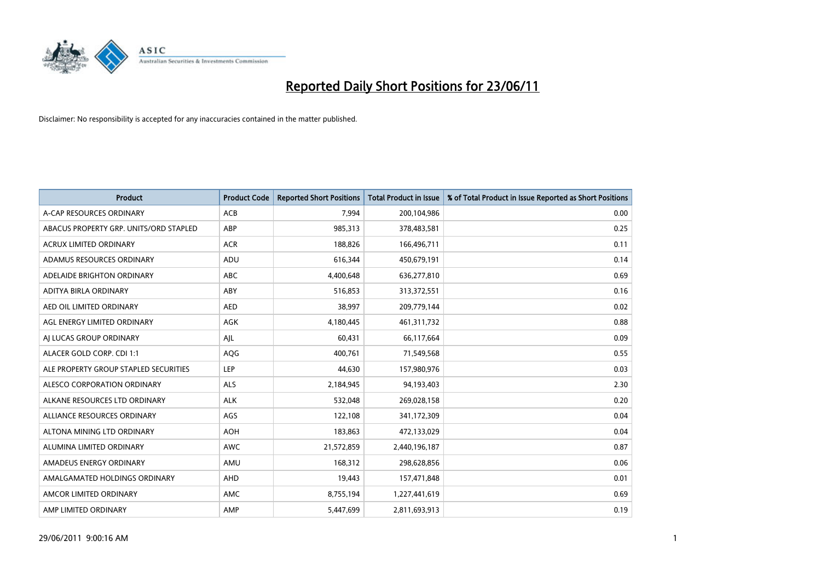

| <b>Product</b>                         | <b>Product Code</b> | <b>Reported Short Positions</b> | <b>Total Product in Issue</b> | % of Total Product in Issue Reported as Short Positions |
|----------------------------------------|---------------------|---------------------------------|-------------------------------|---------------------------------------------------------|
| A-CAP RESOURCES ORDINARY               | <b>ACB</b>          | 7,994                           | 200,104,986                   | 0.00                                                    |
| ABACUS PROPERTY GRP. UNITS/ORD STAPLED | ABP                 | 985,313                         | 378,483,581                   | 0.25                                                    |
| <b>ACRUX LIMITED ORDINARY</b>          | <b>ACR</b>          | 188,826                         | 166,496,711                   | 0.11                                                    |
| ADAMUS RESOURCES ORDINARY              | ADU                 | 616,344                         | 450,679,191                   | 0.14                                                    |
| ADELAIDE BRIGHTON ORDINARY             | <b>ABC</b>          | 4,400,648                       | 636,277,810                   | 0.69                                                    |
| ADITYA BIRLA ORDINARY                  | ABY                 | 516,853                         | 313,372,551                   | 0.16                                                    |
| AED OIL LIMITED ORDINARY               | <b>AED</b>          | 38,997                          | 209,779,144                   | 0.02                                                    |
| AGL ENERGY LIMITED ORDINARY            | AGK                 | 4,180,445                       | 461,311,732                   | 0.88                                                    |
| AI LUCAS GROUP ORDINARY                | AJL                 | 60,431                          | 66,117,664                    | 0.09                                                    |
| ALACER GOLD CORP. CDI 1:1              | AQG                 | 400,761                         | 71,549,568                    | 0.55                                                    |
| ALE PROPERTY GROUP STAPLED SECURITIES  | LEP                 | 44,630                          | 157,980,976                   | 0.03                                                    |
| ALESCO CORPORATION ORDINARY            | ALS                 | 2,184,945                       | 94,193,403                    | 2.30                                                    |
| ALKANE RESOURCES LTD ORDINARY          | <b>ALK</b>          | 532,048                         | 269,028,158                   | 0.20                                                    |
| ALLIANCE RESOURCES ORDINARY            | AGS                 | 122,108                         | 341,172,309                   | 0.04                                                    |
| ALTONA MINING LTD ORDINARY             | <b>AOH</b>          | 183,863                         | 472,133,029                   | 0.04                                                    |
| ALUMINA LIMITED ORDINARY               | <b>AWC</b>          | 21,572,859                      | 2,440,196,187                 | 0.87                                                    |
| AMADEUS ENERGY ORDINARY                | AMU                 | 168,312                         | 298,628,856                   | 0.06                                                    |
| AMALGAMATED HOLDINGS ORDINARY          | AHD                 | 19,443                          | 157,471,848                   | 0.01                                                    |
| AMCOR LIMITED ORDINARY                 | AMC                 | 8,755,194                       | 1,227,441,619                 | 0.69                                                    |
| AMP LIMITED ORDINARY                   | AMP                 | 5,447,699                       | 2,811,693,913                 | 0.19                                                    |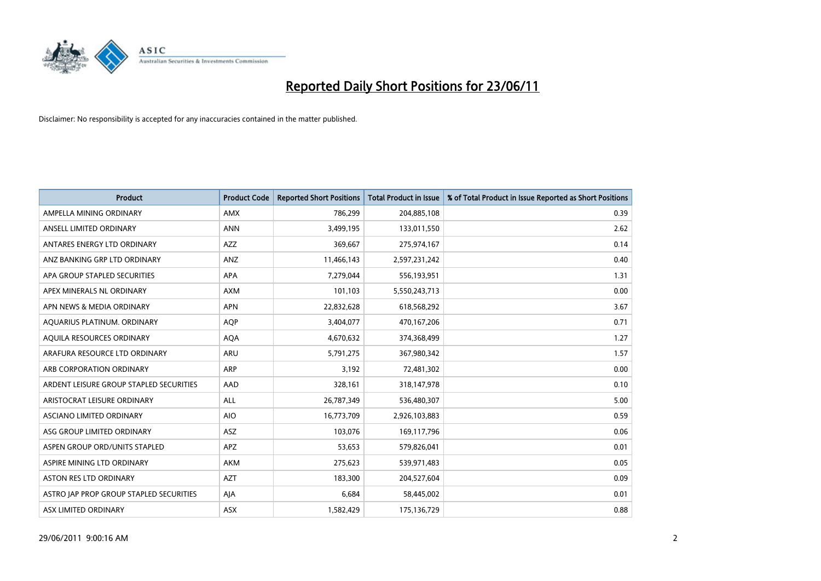

| <b>Product</b>                          | <b>Product Code</b> | <b>Reported Short Positions</b> | <b>Total Product in Issue</b> | % of Total Product in Issue Reported as Short Positions |
|-----------------------------------------|---------------------|---------------------------------|-------------------------------|---------------------------------------------------------|
| AMPELLA MINING ORDINARY                 | AMX                 | 786,299                         | 204,885,108                   | 0.39                                                    |
| ANSELL LIMITED ORDINARY                 | <b>ANN</b>          | 3,499,195                       | 133,011,550                   | 2.62                                                    |
| ANTARES ENERGY LTD ORDINARY             | AZZ                 | 369,667                         | 275,974,167                   | 0.14                                                    |
| ANZ BANKING GRP LTD ORDINARY            | ANZ                 | 11,466,143                      | 2,597,231,242                 | 0.40                                                    |
| APA GROUP STAPLED SECURITIES            | <b>APA</b>          | 7,279,044                       | 556,193,951                   | 1.31                                                    |
| APEX MINERALS NL ORDINARY               | <b>AXM</b>          | 101,103                         | 5,550,243,713                 | 0.00                                                    |
| APN NEWS & MEDIA ORDINARY               | <b>APN</b>          | 22,832,628                      | 618,568,292                   | 3.67                                                    |
| AQUARIUS PLATINUM. ORDINARY             | <b>AOP</b>          | 3,404,077                       | 470,167,206                   | 0.71                                                    |
| AQUILA RESOURCES ORDINARY               | <b>AQA</b>          | 4,670,632                       | 374,368,499                   | 1.27                                                    |
| ARAFURA RESOURCE LTD ORDINARY           | ARU                 | 5,791,275                       | 367,980,342                   | 1.57                                                    |
| ARB CORPORATION ORDINARY                | ARP                 | 3,192                           | 72,481,302                    | 0.00                                                    |
| ARDENT LEISURE GROUP STAPLED SECURITIES | AAD                 | 328,161                         | 318,147,978                   | 0.10                                                    |
| ARISTOCRAT LEISURE ORDINARY             | ALL                 | 26,787,349                      | 536,480,307                   | 5.00                                                    |
| <b>ASCIANO LIMITED ORDINARY</b>         | <b>AIO</b>          | 16,773,709                      | 2,926,103,883                 | 0.59                                                    |
| ASG GROUP LIMITED ORDINARY              | <b>ASZ</b>          | 103,076                         | 169,117,796                   | 0.06                                                    |
| ASPEN GROUP ORD/UNITS STAPLED           | <b>APZ</b>          | 53,653                          | 579,826,041                   | 0.01                                                    |
| ASPIRE MINING LTD ORDINARY              | <b>AKM</b>          | 275,623                         | 539,971,483                   | 0.05                                                    |
| ASTON RES LTD ORDINARY                  | <b>AZT</b>          | 183,300                         | 204,527,604                   | 0.09                                                    |
| ASTRO JAP PROP GROUP STAPLED SECURITIES | AJA                 | 6,684                           | 58,445,002                    | 0.01                                                    |
| ASX LIMITED ORDINARY                    | ASX                 | 1,582,429                       | 175,136,729                   | 0.88                                                    |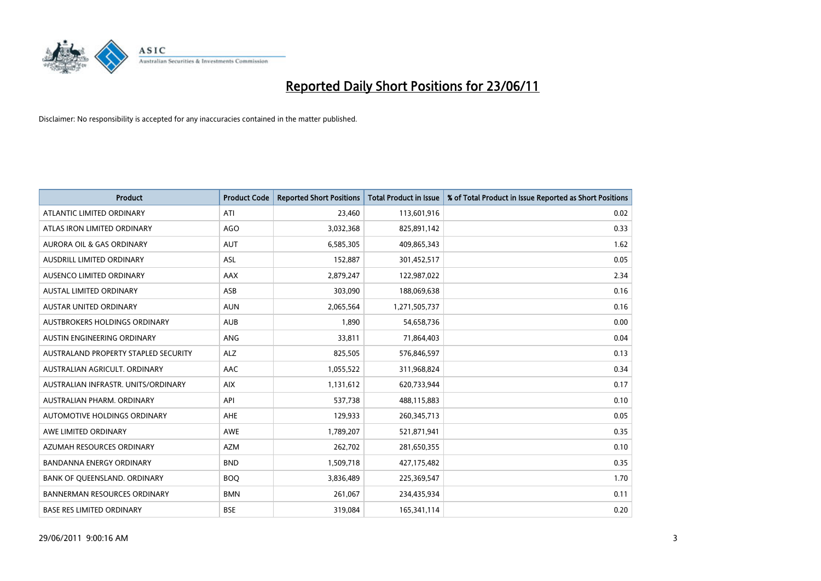

| <b>Product</b>                       | <b>Product Code</b> | <b>Reported Short Positions</b> | <b>Total Product in Issue</b> | % of Total Product in Issue Reported as Short Positions |
|--------------------------------------|---------------------|---------------------------------|-------------------------------|---------------------------------------------------------|
| ATLANTIC LIMITED ORDINARY            | ATI                 | 23,460                          | 113,601,916                   | 0.02                                                    |
| ATLAS IRON LIMITED ORDINARY          | <b>AGO</b>          | 3,032,368                       | 825,891,142                   | 0.33                                                    |
| <b>AURORA OIL &amp; GAS ORDINARY</b> | <b>AUT</b>          | 6,585,305                       | 409,865,343                   | 1.62                                                    |
| AUSDRILL LIMITED ORDINARY            | ASL                 | 152,887                         | 301,452,517                   | 0.05                                                    |
| AUSENCO LIMITED ORDINARY             | AAX                 | 2,879,247                       | 122,987,022                   | 2.34                                                    |
| <b>AUSTAL LIMITED ORDINARY</b>       | ASB                 | 303,090                         | 188,069,638                   | 0.16                                                    |
| AUSTAR UNITED ORDINARY               | <b>AUN</b>          | 2,065,564                       | 1,271,505,737                 | 0.16                                                    |
| AUSTBROKERS HOLDINGS ORDINARY        | <b>AUB</b>          | 1,890                           | 54,658,736                    | 0.00                                                    |
| AUSTIN ENGINEERING ORDINARY          | ANG                 | 33,811                          | 71,864,403                    | 0.04                                                    |
| AUSTRALAND PROPERTY STAPLED SECURITY | <b>ALZ</b>          | 825,505                         | 576,846,597                   | 0.13                                                    |
| AUSTRALIAN AGRICULT. ORDINARY        | AAC                 | 1,055,522                       | 311,968,824                   | 0.34                                                    |
| AUSTRALIAN INFRASTR, UNITS/ORDINARY  | <b>AIX</b>          | 1,131,612                       | 620,733,944                   | 0.17                                                    |
| AUSTRALIAN PHARM. ORDINARY           | API                 | 537,738                         | 488,115,883                   | 0.10                                                    |
| AUTOMOTIVE HOLDINGS ORDINARY         | AHE                 | 129,933                         | 260,345,713                   | 0.05                                                    |
| AWE LIMITED ORDINARY                 | <b>AWE</b>          | 1,789,207                       | 521,871,941                   | 0.35                                                    |
| AZUMAH RESOURCES ORDINARY            | <b>AZM</b>          | 262,702                         | 281,650,355                   | 0.10                                                    |
| BANDANNA ENERGY ORDINARY             | <b>BND</b>          | 1,509,718                       | 427,175,482                   | 0.35                                                    |
| BANK OF QUEENSLAND. ORDINARY         | <b>BOQ</b>          | 3,836,489                       | 225,369,547                   | 1.70                                                    |
| <b>BANNERMAN RESOURCES ORDINARY</b>  | <b>BMN</b>          | 261,067                         | 234,435,934                   | 0.11                                                    |
| <b>BASE RES LIMITED ORDINARY</b>     | <b>BSE</b>          | 319,084                         | 165,341,114                   | 0.20                                                    |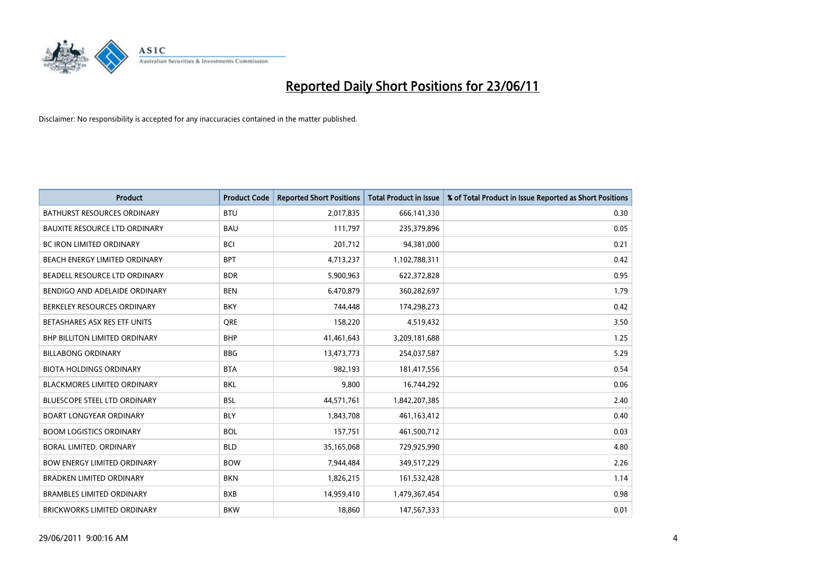

| <b>Product</b>                       | <b>Product Code</b> | <b>Reported Short Positions</b> | <b>Total Product in Issue</b> | % of Total Product in Issue Reported as Short Positions |
|--------------------------------------|---------------------|---------------------------------|-------------------------------|---------------------------------------------------------|
| <b>BATHURST RESOURCES ORDINARY</b>   | <b>BTU</b>          | 2,017,835                       | 666,141,330                   | 0.30                                                    |
| <b>BAUXITE RESOURCE LTD ORDINARY</b> | <b>BAU</b>          | 111,797                         | 235,379,896                   | 0.05                                                    |
| <b>BC IRON LIMITED ORDINARY</b>      | <b>BCI</b>          | 201,712                         | 94,381,000                    | 0.21                                                    |
| BEACH ENERGY LIMITED ORDINARY        | <b>BPT</b>          | 4,713,237                       | 1,102,788,311                 | 0.42                                                    |
| BEADELL RESOURCE LTD ORDINARY        | <b>BDR</b>          | 5,900,963                       | 622,372,828                   | 0.95                                                    |
| BENDIGO AND ADELAIDE ORDINARY        | <b>BEN</b>          | 6,470,879                       | 360,282,697                   | 1.79                                                    |
| BERKELEY RESOURCES ORDINARY          | <b>BKY</b>          | 744,448                         | 174,298,273                   | 0.42                                                    |
| BETASHARES ASX RES ETF UNITS         | <b>ORE</b>          | 158,220                         | 4,519,432                     | 3.50                                                    |
| <b>BHP BILLITON LIMITED ORDINARY</b> | <b>BHP</b>          | 41,461,643                      | 3,209,181,688                 | 1.25                                                    |
| <b>BILLABONG ORDINARY</b>            | <b>BBG</b>          | 13,473,773                      | 254,037,587                   | 5.29                                                    |
| <b>BIOTA HOLDINGS ORDINARY</b>       | <b>BTA</b>          | 982,193                         | 181,417,556                   | 0.54                                                    |
| <b>BLACKMORES LIMITED ORDINARY</b>   | BKL                 | 9,800                           | 16,744,292                    | 0.06                                                    |
| <b>BLUESCOPE STEEL LTD ORDINARY</b>  | <b>BSL</b>          | 44,571,761                      | 1,842,207,385                 | 2.40                                                    |
| <b>BOART LONGYEAR ORDINARY</b>       | <b>BLY</b>          | 1,843,708                       | 461,163,412                   | 0.40                                                    |
| <b>BOOM LOGISTICS ORDINARY</b>       | <b>BOL</b>          | 157,751                         | 461,500,712                   | 0.03                                                    |
| BORAL LIMITED. ORDINARY              | <b>BLD</b>          | 35,165,068                      | 729,925,990                   | 4.80                                                    |
| <b>BOW ENERGY LIMITED ORDINARY</b>   | <b>BOW</b>          | 7,944,484                       | 349,517,229                   | 2.26                                                    |
| <b>BRADKEN LIMITED ORDINARY</b>      | <b>BKN</b>          | 1,826,215                       | 161,532,428                   | 1.14                                                    |
| <b>BRAMBLES LIMITED ORDINARY</b>     | <b>BXB</b>          | 14,959,410                      | 1,479,367,454                 | 0.98                                                    |
| BRICKWORKS LIMITED ORDINARY          | <b>BKW</b>          | 18,860                          | 147,567,333                   | 0.01                                                    |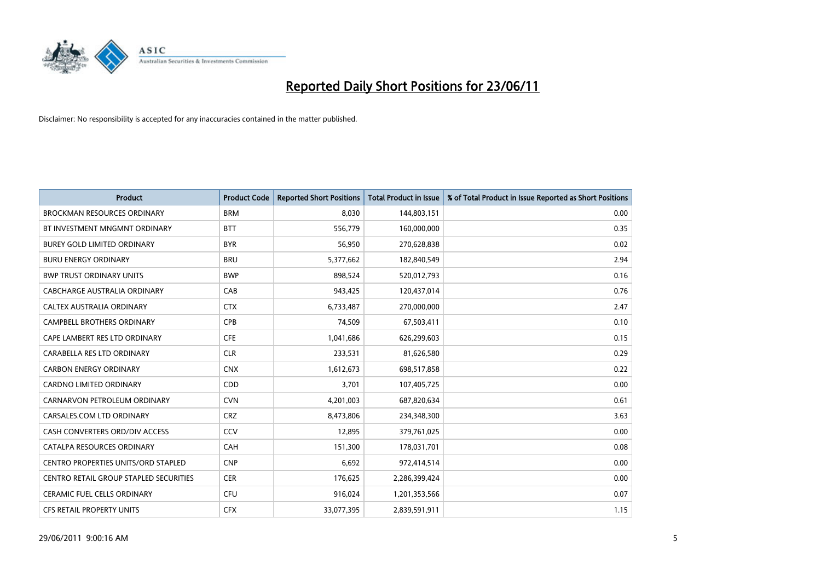

| <b>Product</b>                         | <b>Product Code</b> | <b>Reported Short Positions</b> | <b>Total Product in Issue</b> | % of Total Product in Issue Reported as Short Positions |
|----------------------------------------|---------------------|---------------------------------|-------------------------------|---------------------------------------------------------|
| <b>BROCKMAN RESOURCES ORDINARY</b>     | <b>BRM</b>          | 8,030                           | 144,803,151                   | 0.00                                                    |
| BT INVESTMENT MNGMNT ORDINARY          | <b>BTT</b>          | 556,779                         | 160,000,000                   | 0.35                                                    |
| <b>BUREY GOLD LIMITED ORDINARY</b>     | <b>BYR</b>          | 56,950                          | 270,628,838                   | 0.02                                                    |
| <b>BURU ENERGY ORDINARY</b>            | <b>BRU</b>          | 5,377,662                       | 182,840,549                   | 2.94                                                    |
| <b>BWP TRUST ORDINARY UNITS</b>        | <b>BWP</b>          | 898,524                         | 520,012,793                   | 0.16                                                    |
| <b>CABCHARGE AUSTRALIA ORDINARY</b>    | CAB                 | 943,425                         | 120,437,014                   | 0.76                                                    |
| CALTEX AUSTRALIA ORDINARY              | <b>CTX</b>          | 6,733,487                       | 270,000,000                   | 2.47                                                    |
| CAMPBELL BROTHERS ORDINARY             | <b>CPB</b>          | 74,509                          | 67,503,411                    | 0.10                                                    |
| CAPE LAMBERT RES LTD ORDINARY          | <b>CFE</b>          | 1,041,686                       | 626,299,603                   | 0.15                                                    |
| CARABELLA RES LTD ORDINARY             | <b>CLR</b>          | 233,531                         | 81,626,580                    | 0.29                                                    |
| <b>CARBON ENERGY ORDINARY</b>          | <b>CNX</b>          | 1,612,673                       | 698,517,858                   | 0.22                                                    |
| <b>CARDNO LIMITED ORDINARY</b>         | CDD                 | 3,701                           | 107,405,725                   | 0.00                                                    |
| CARNARVON PETROLEUM ORDINARY           | <b>CVN</b>          | 4,201,003                       | 687,820,634                   | 0.61                                                    |
| CARSALES.COM LTD ORDINARY              | <b>CRZ</b>          | 8,473,806                       | 234,348,300                   | 3.63                                                    |
| CASH CONVERTERS ORD/DIV ACCESS         | CCV                 | 12,895                          | 379,761,025                   | 0.00                                                    |
| CATALPA RESOURCES ORDINARY             | CAH                 | 151,300                         | 178,031,701                   | 0.08                                                    |
| CENTRO PROPERTIES UNITS/ORD STAPLED    | <b>CNP</b>          | 6,692                           | 972,414,514                   | 0.00                                                    |
| CENTRO RETAIL GROUP STAPLED SECURITIES | <b>CER</b>          | 176,625                         | 2,286,399,424                 | 0.00                                                    |
| CERAMIC FUEL CELLS ORDINARY            | <b>CFU</b>          | 916,024                         | 1,201,353,566                 | 0.07                                                    |
| CFS RETAIL PROPERTY UNITS              | <b>CFX</b>          | 33,077,395                      | 2,839,591,911                 | 1.15                                                    |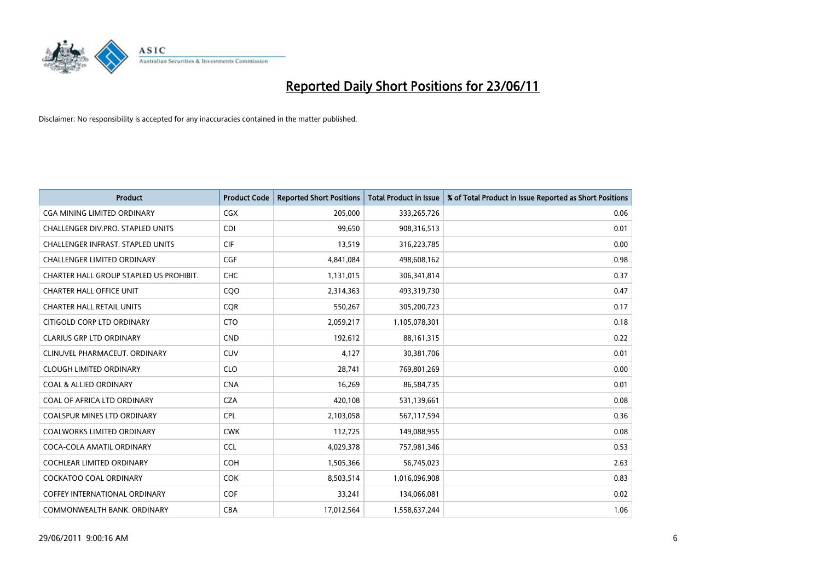

| <b>Product</b>                           | <b>Product Code</b> | <b>Reported Short Positions</b> | <b>Total Product in Issue</b> | % of Total Product in Issue Reported as Short Positions |
|------------------------------------------|---------------------|---------------------------------|-------------------------------|---------------------------------------------------------|
| <b>CGA MINING LIMITED ORDINARY</b>       | <b>CGX</b>          | 205,000                         | 333,265,726                   | 0.06                                                    |
| CHALLENGER DIV.PRO. STAPLED UNITS        | <b>CDI</b>          | 99,650                          | 908,316,513                   | 0.01                                                    |
| <b>CHALLENGER INFRAST, STAPLED UNITS</b> | <b>CIF</b>          | 13,519                          | 316,223,785                   | 0.00                                                    |
| <b>CHALLENGER LIMITED ORDINARY</b>       | <b>CGF</b>          | 4,841,084                       | 498,608,162                   | 0.98                                                    |
| CHARTER HALL GROUP STAPLED US PROHIBIT.  | <b>CHC</b>          | 1,131,015                       | 306,341,814                   | 0.37                                                    |
| <b>CHARTER HALL OFFICE UNIT</b>          | CQO                 | 2,314,363                       | 493,319,730                   | 0.47                                                    |
| <b>CHARTER HALL RETAIL UNITS</b>         | <b>COR</b>          | 550,267                         | 305,200,723                   | 0.17                                                    |
| CITIGOLD CORP LTD ORDINARY               | <b>CTO</b>          | 2,059,217                       | 1,105,078,301                 | 0.18                                                    |
| <b>CLARIUS GRP LTD ORDINARY</b>          | <b>CND</b>          | 192,612                         | 88,161,315                    | 0.22                                                    |
| CLINUVEL PHARMACEUT, ORDINARY            | <b>CUV</b>          | 4,127                           | 30,381,706                    | 0.01                                                    |
| <b>CLOUGH LIMITED ORDINARY</b>           | <b>CLO</b>          | 28,741                          | 769,801,269                   | 0.00                                                    |
| <b>COAL &amp; ALLIED ORDINARY</b>        | <b>CNA</b>          | 16,269                          | 86,584,735                    | 0.01                                                    |
| COAL OF AFRICA LTD ORDINARY              | <b>CZA</b>          | 420,108                         | 531,139,661                   | 0.08                                                    |
| <b>COALSPUR MINES LTD ORDINARY</b>       | <b>CPL</b>          | 2,103,058                       | 567,117,594                   | 0.36                                                    |
| <b>COALWORKS LIMITED ORDINARY</b>        | <b>CWK</b>          | 112,725                         | 149,088,955                   | 0.08                                                    |
| COCA-COLA AMATIL ORDINARY                | <b>CCL</b>          | 4,029,378                       | 757,981,346                   | 0.53                                                    |
| COCHLEAR LIMITED ORDINARY                | <b>COH</b>          | 1,505,366                       | 56,745,023                    | 2.63                                                    |
| <b>COCKATOO COAL ORDINARY</b>            | <b>COK</b>          | 8,503,514                       | 1,016,096,908                 | 0.83                                                    |
| <b>COFFEY INTERNATIONAL ORDINARY</b>     | <b>COF</b>          | 33,241                          | 134,066,081                   | 0.02                                                    |
| COMMONWEALTH BANK, ORDINARY              | <b>CBA</b>          | 17,012,564                      | 1,558,637,244                 | 1.06                                                    |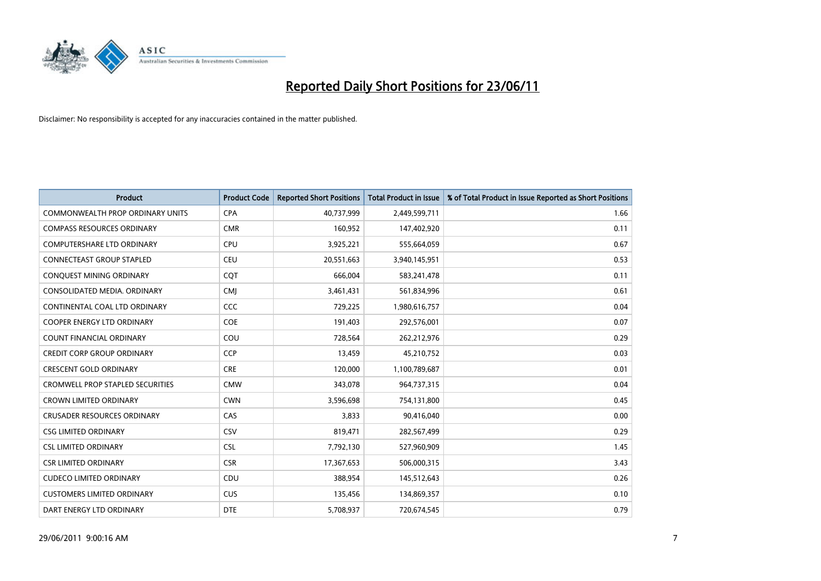

| <b>Product</b>                          | <b>Product Code</b> | <b>Reported Short Positions</b> | <b>Total Product in Issue</b> | % of Total Product in Issue Reported as Short Positions |
|-----------------------------------------|---------------------|---------------------------------|-------------------------------|---------------------------------------------------------|
| <b>COMMONWEALTH PROP ORDINARY UNITS</b> | <b>CPA</b>          | 40,737,999                      | 2,449,599,711                 | 1.66                                                    |
| <b>COMPASS RESOURCES ORDINARY</b>       | <b>CMR</b>          | 160,952                         | 147,402,920                   | 0.11                                                    |
| <b>COMPUTERSHARE LTD ORDINARY</b>       | <b>CPU</b>          | 3,925,221                       | 555,664,059                   | 0.67                                                    |
| <b>CONNECTEAST GROUP STAPLED</b>        | <b>CEU</b>          | 20,551,663                      | 3,940,145,951                 | 0.53                                                    |
| CONQUEST MINING ORDINARY                | COT                 | 666,004                         | 583,241,478                   | 0.11                                                    |
| CONSOLIDATED MEDIA, ORDINARY            | <b>CMJ</b>          | 3,461,431                       | 561,834,996                   | 0.61                                                    |
| CONTINENTAL COAL LTD ORDINARY           | CCC                 | 729,225                         | 1,980,616,757                 | 0.04                                                    |
| COOPER ENERGY LTD ORDINARY              | <b>COE</b>          | 191,403                         | 292,576,001                   | 0.07                                                    |
| <b>COUNT FINANCIAL ORDINARY</b>         | COU                 | 728,564                         | 262,212,976                   | 0.29                                                    |
| <b>CREDIT CORP GROUP ORDINARY</b>       | <b>CCP</b>          | 13,459                          | 45,210,752                    | 0.03                                                    |
| <b>CRESCENT GOLD ORDINARY</b>           | <b>CRE</b>          | 120,000                         | 1,100,789,687                 | 0.01                                                    |
| <b>CROMWELL PROP STAPLED SECURITIES</b> | <b>CMW</b>          | 343,078                         | 964,737,315                   | 0.04                                                    |
| <b>CROWN LIMITED ORDINARY</b>           | <b>CWN</b>          | 3,596,698                       | 754,131,800                   | 0.45                                                    |
| <b>CRUSADER RESOURCES ORDINARY</b>      | CAS                 | 3,833                           | 90,416,040                    | 0.00                                                    |
| <b>CSG LIMITED ORDINARY</b>             | CSV                 | 819,471                         | 282,567,499                   | 0.29                                                    |
| <b>CSL LIMITED ORDINARY</b>             | <b>CSL</b>          | 7,792,130                       | 527,960,909                   | 1.45                                                    |
| <b>CSR LIMITED ORDINARY</b>             | <b>CSR</b>          | 17,367,653                      | 506,000,315                   | 3.43                                                    |
| <b>CUDECO LIMITED ORDINARY</b>          | <b>CDU</b>          | 388,954                         | 145,512,643                   | 0.26                                                    |
| <b>CUSTOMERS LIMITED ORDINARY</b>       | <b>CUS</b>          | 135,456                         | 134,869,357                   | 0.10                                                    |
| DART ENERGY LTD ORDINARY                | <b>DTE</b>          | 5,708,937                       | 720,674,545                   | 0.79                                                    |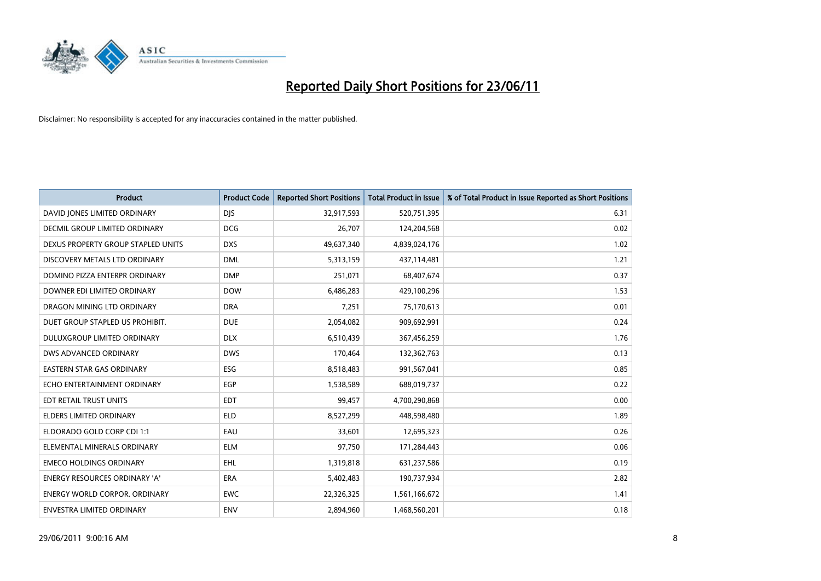

| <b>Product</b>                       | <b>Product Code</b> | <b>Reported Short Positions</b> | <b>Total Product in Issue</b> | % of Total Product in Issue Reported as Short Positions |
|--------------------------------------|---------------------|---------------------------------|-------------------------------|---------------------------------------------------------|
| DAVID JONES LIMITED ORDINARY         | <b>DJS</b>          | 32,917,593                      | 520,751,395                   | 6.31                                                    |
| <b>DECMIL GROUP LIMITED ORDINARY</b> | <b>DCG</b>          | 26,707                          | 124,204,568                   | 0.02                                                    |
| DEXUS PROPERTY GROUP STAPLED UNITS   | <b>DXS</b>          | 49,637,340                      | 4,839,024,176                 | 1.02                                                    |
| DISCOVERY METALS LTD ORDINARY        | <b>DML</b>          | 5,313,159                       | 437,114,481                   | 1.21                                                    |
| DOMINO PIZZA ENTERPR ORDINARY        | <b>DMP</b>          | 251,071                         | 68,407,674                    | 0.37                                                    |
| DOWNER EDI LIMITED ORDINARY          | <b>DOW</b>          | 6,486,283                       | 429,100,296                   | 1.53                                                    |
| DRAGON MINING LTD ORDINARY           | <b>DRA</b>          | 7,251                           | 75,170,613                    | 0.01                                                    |
| DUET GROUP STAPLED US PROHIBIT.      | <b>DUE</b>          | 2,054,082                       | 909,692,991                   | 0.24                                                    |
| DULUXGROUP LIMITED ORDINARY          | <b>DLX</b>          | 6,510,439                       | 367,456,259                   | 1.76                                                    |
| DWS ADVANCED ORDINARY                | <b>DWS</b>          | 170,464                         | 132,362,763                   | 0.13                                                    |
| EASTERN STAR GAS ORDINARY            | <b>ESG</b>          | 8,518,483                       | 991,567,041                   | 0.85                                                    |
| ECHO ENTERTAINMENT ORDINARY          | <b>EGP</b>          | 1,538,589                       | 688,019,737                   | 0.22                                                    |
| EDT RETAIL TRUST UNITS               | <b>EDT</b>          | 99,457                          | 4,700,290,868                 | 0.00                                                    |
| <b>ELDERS LIMITED ORDINARY</b>       | <b>ELD</b>          | 8,527,299                       | 448,598,480                   | 1.89                                                    |
| ELDORADO GOLD CORP CDI 1:1           | EAU                 | 33,601                          | 12,695,323                    | 0.26                                                    |
| ELEMENTAL MINERALS ORDINARY          | <b>ELM</b>          | 97,750                          | 171,284,443                   | 0.06                                                    |
| <b>EMECO HOLDINGS ORDINARY</b>       | <b>EHL</b>          | 1,319,818                       | 631,237,586                   | 0.19                                                    |
| <b>ENERGY RESOURCES ORDINARY 'A'</b> | <b>ERA</b>          | 5,402,483                       | 190,737,934                   | 2.82                                                    |
| <b>ENERGY WORLD CORPOR, ORDINARY</b> | <b>EWC</b>          | 22,326,325                      | 1,561,166,672                 | 1.41                                                    |
| ENVESTRA LIMITED ORDINARY            | <b>ENV</b>          | 2,894,960                       | 1,468,560,201                 | 0.18                                                    |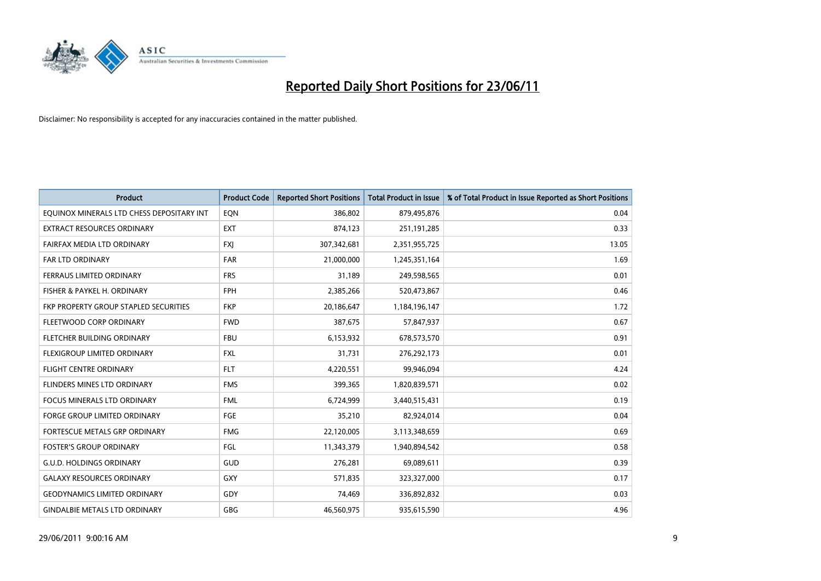

| <b>Product</b>                               | <b>Product Code</b> | <b>Reported Short Positions</b> | <b>Total Product in Issue</b> | % of Total Product in Issue Reported as Short Positions |
|----------------------------------------------|---------------------|---------------------------------|-------------------------------|---------------------------------------------------------|
| EQUINOX MINERALS LTD CHESS DEPOSITARY INT    | EQN                 | 386,802                         | 879,495,876                   | 0.04                                                    |
| EXTRACT RESOURCES ORDINARY                   | EXT                 | 874,123                         | 251,191,285                   | 0.33                                                    |
| FAIRFAX MEDIA LTD ORDINARY                   | <b>FXI</b>          | 307,342,681                     | 2,351,955,725                 | 13.05                                                   |
| FAR LTD ORDINARY                             | <b>FAR</b>          | 21,000,000                      | 1,245,351,164                 | 1.69                                                    |
| FERRAUS LIMITED ORDINARY                     | <b>FRS</b>          | 31,189                          | 249,598,565                   | 0.01                                                    |
| FISHER & PAYKEL H. ORDINARY                  | <b>FPH</b>          | 2,385,266                       | 520,473,867                   | 0.46                                                    |
| <b>FKP PROPERTY GROUP STAPLED SECURITIES</b> | <b>FKP</b>          | 20,186,647                      | 1,184,196,147                 | 1.72                                                    |
| FLEETWOOD CORP ORDINARY                      | <b>FWD</b>          | 387,675                         | 57,847,937                    | 0.67                                                    |
| FLETCHER BUILDING ORDINARY                   | <b>FBU</b>          | 6,153,932                       | 678,573,570                   | 0.91                                                    |
| FLEXIGROUP LIMITED ORDINARY                  | <b>FXL</b>          | 31,731                          | 276,292,173                   | 0.01                                                    |
| FLIGHT CENTRE ORDINARY                       | <b>FLT</b>          | 4,220,551                       | 99,946,094                    | 4.24                                                    |
| FLINDERS MINES LTD ORDINARY                  | <b>FMS</b>          | 399,365                         | 1,820,839,571                 | 0.02                                                    |
| <b>FOCUS MINERALS LTD ORDINARY</b>           | <b>FML</b>          | 6,724,999                       | 3,440,515,431                 | 0.19                                                    |
| <b>FORGE GROUP LIMITED ORDINARY</b>          | FGE                 | 35,210                          | 82,924,014                    | 0.04                                                    |
| FORTESCUE METALS GRP ORDINARY                | <b>FMG</b>          | 22,120,005                      | 3,113,348,659                 | 0.69                                                    |
| <b>FOSTER'S GROUP ORDINARY</b>               | FGL                 | 11,343,379                      | 1,940,894,542                 | 0.58                                                    |
| <b>G.U.D. HOLDINGS ORDINARY</b>              | GUD                 | 276,281                         | 69,089,611                    | 0.39                                                    |
| <b>GALAXY RESOURCES ORDINARY</b>             | <b>GXY</b>          | 571,835                         | 323,327,000                   | 0.17                                                    |
| <b>GEODYNAMICS LIMITED ORDINARY</b>          | GDY                 | 74,469                          | 336,892,832                   | 0.03                                                    |
| <b>GINDALBIE METALS LTD ORDINARY</b>         | <b>GBG</b>          | 46,560,975                      | 935,615,590                   | 4.96                                                    |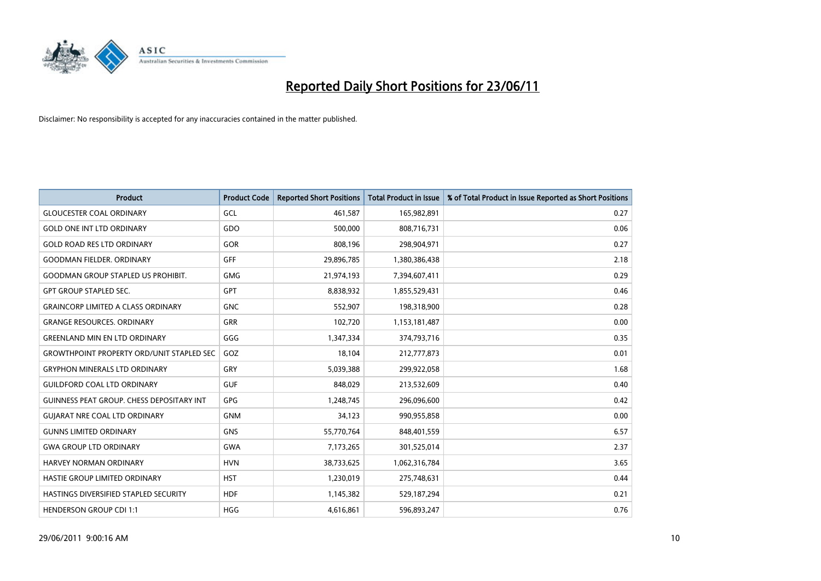

| <b>Product</b>                                   | <b>Product Code</b> | <b>Reported Short Positions</b> | <b>Total Product in Issue</b> | % of Total Product in Issue Reported as Short Positions |
|--------------------------------------------------|---------------------|---------------------------------|-------------------------------|---------------------------------------------------------|
| <b>GLOUCESTER COAL ORDINARY</b>                  | GCL                 | 461,587                         | 165,982,891                   | 0.27                                                    |
| <b>GOLD ONE INT LTD ORDINARY</b>                 | GDO                 | 500,000                         | 808,716,731                   | 0.06                                                    |
| <b>GOLD ROAD RES LTD ORDINARY</b>                | GOR                 | 808,196                         | 298,904,971                   | 0.27                                                    |
| <b>GOODMAN FIELDER. ORDINARY</b>                 | <b>GFF</b>          | 29,896,785                      | 1,380,386,438                 | 2.18                                                    |
| <b>GOODMAN GROUP STAPLED US PROHIBIT.</b>        | <b>GMG</b>          | 21,974,193                      | 7,394,607,411                 | 0.29                                                    |
| <b>GPT GROUP STAPLED SEC.</b>                    | GPT                 | 8,838,932                       | 1,855,529,431                 | 0.46                                                    |
| <b>GRAINCORP LIMITED A CLASS ORDINARY</b>        | <b>GNC</b>          | 552,907                         | 198,318,900                   | 0.28                                                    |
| <b>GRANGE RESOURCES. ORDINARY</b>                | GRR                 | 102,720                         | 1,153,181,487                 | 0.00                                                    |
| <b>GREENLAND MIN EN LTD ORDINARY</b>             | GGG                 | 1,347,334                       | 374,793,716                   | 0.35                                                    |
| <b>GROWTHPOINT PROPERTY ORD/UNIT STAPLED SEC</b> | GOZ                 | 18,104                          | 212,777,873                   | 0.01                                                    |
| <b>GRYPHON MINERALS LTD ORDINARY</b>             | GRY                 | 5,039,388                       | 299,922,058                   | 1.68                                                    |
| <b>GUILDFORD COAL LTD ORDINARY</b>               | <b>GUF</b>          | 848,029                         | 213,532,609                   | 0.40                                                    |
| GUINNESS PEAT GROUP. CHESS DEPOSITARY INT        | <b>GPG</b>          | 1,248,745                       | 296,096,600                   | 0.42                                                    |
| <b>GUIARAT NRE COAL LTD ORDINARY</b>             | <b>GNM</b>          | 34,123                          | 990,955,858                   | 0.00                                                    |
| <b>GUNNS LIMITED ORDINARY</b>                    | <b>GNS</b>          | 55,770,764                      | 848,401,559                   | 6.57                                                    |
| <b>GWA GROUP LTD ORDINARY</b>                    | <b>GWA</b>          | 7,173,265                       | 301,525,014                   | 2.37                                                    |
| <b>HARVEY NORMAN ORDINARY</b>                    | <b>HVN</b>          | 38,733,625                      | 1,062,316,784                 | 3.65                                                    |
| HASTIE GROUP LIMITED ORDINARY                    | <b>HST</b>          | 1,230,019                       | 275,748,631                   | 0.44                                                    |
| HASTINGS DIVERSIFIED STAPLED SECURITY            | <b>HDF</b>          | 1,145,382                       | 529,187,294                   | 0.21                                                    |
| <b>HENDERSON GROUP CDI 1:1</b>                   | <b>HGG</b>          | 4,616,861                       | 596,893,247                   | 0.76                                                    |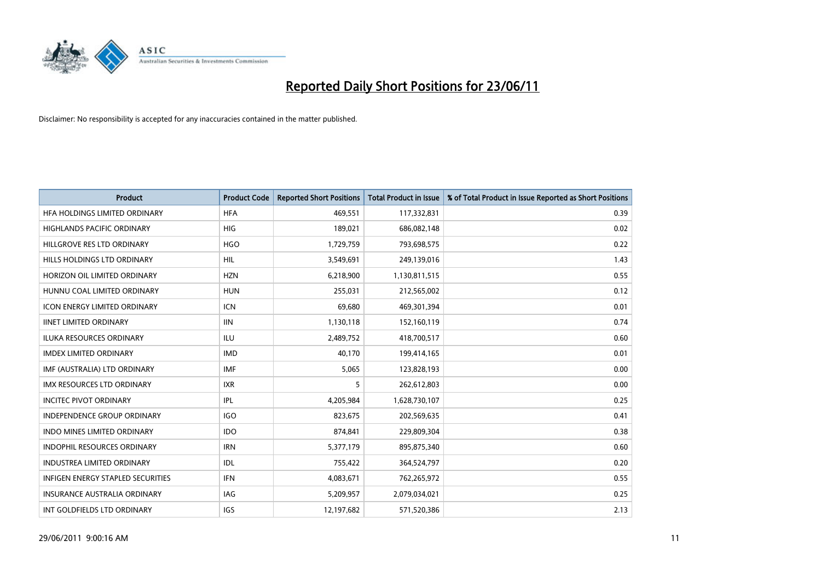

| <b>Product</b>                      | <b>Product Code</b> | <b>Reported Short Positions</b> | <b>Total Product in Issue</b> | % of Total Product in Issue Reported as Short Positions |
|-------------------------------------|---------------------|---------------------------------|-------------------------------|---------------------------------------------------------|
| HFA HOLDINGS LIMITED ORDINARY       | <b>HFA</b>          | 469,551                         | 117,332,831                   | 0.39                                                    |
| HIGHLANDS PACIFIC ORDINARY          | <b>HIG</b>          | 189,021                         | 686,082,148                   | 0.02                                                    |
| HILLGROVE RES LTD ORDINARY          | <b>HGO</b>          | 1,729,759                       | 793,698,575                   | 0.22                                                    |
| HILLS HOLDINGS LTD ORDINARY         | <b>HIL</b>          | 3,549,691                       | 249,139,016                   | 1.43                                                    |
| HORIZON OIL LIMITED ORDINARY        | <b>HZN</b>          | 6,218,900                       | 1,130,811,515                 | 0.55                                                    |
| HUNNU COAL LIMITED ORDINARY         | <b>HUN</b>          | 255,031                         | 212,565,002                   | 0.12                                                    |
| <b>ICON ENERGY LIMITED ORDINARY</b> | <b>ICN</b>          | 69,680                          | 469,301,394                   | 0.01                                                    |
| <b>IINET LIMITED ORDINARY</b>       | <b>IIN</b>          | 1,130,118                       | 152,160,119                   | 0.74                                                    |
| <b>ILUKA RESOURCES ORDINARY</b>     | <b>ILU</b>          | 2,489,752                       | 418,700,517                   | 0.60                                                    |
| <b>IMDEX LIMITED ORDINARY</b>       | <b>IMD</b>          | 40,170                          | 199,414,165                   | 0.01                                                    |
| IMF (AUSTRALIA) LTD ORDINARY        | <b>IMF</b>          | 5,065                           | 123,828,193                   | 0.00                                                    |
| <b>IMX RESOURCES LTD ORDINARY</b>   | <b>IXR</b>          | 5                               | 262,612,803                   | 0.00                                                    |
| <b>INCITEC PIVOT ORDINARY</b>       | <b>IPL</b>          | 4,205,984                       | 1,628,730,107                 | 0.25                                                    |
| <b>INDEPENDENCE GROUP ORDINARY</b>  | <b>IGO</b>          | 823,675                         | 202,569,635                   | 0.41                                                    |
| <b>INDO MINES LIMITED ORDINARY</b>  | <b>IDO</b>          | 874,841                         | 229,809,304                   | 0.38                                                    |
| INDOPHIL RESOURCES ORDINARY         | <b>IRN</b>          | 5,377,179                       | 895,875,340                   | 0.60                                                    |
| INDUSTREA LIMITED ORDINARY          | IDL                 | 755,422                         | 364,524,797                   | 0.20                                                    |
| INFIGEN ENERGY STAPLED SECURITIES   | <b>IFN</b>          | 4,083,671                       | 762,265,972                   | 0.55                                                    |
| <b>INSURANCE AUSTRALIA ORDINARY</b> | <b>IAG</b>          | 5,209,957                       | 2,079,034,021                 | 0.25                                                    |
| INT GOLDFIELDS LTD ORDINARY         | IGS                 | 12,197,682                      | 571,520,386                   | 2.13                                                    |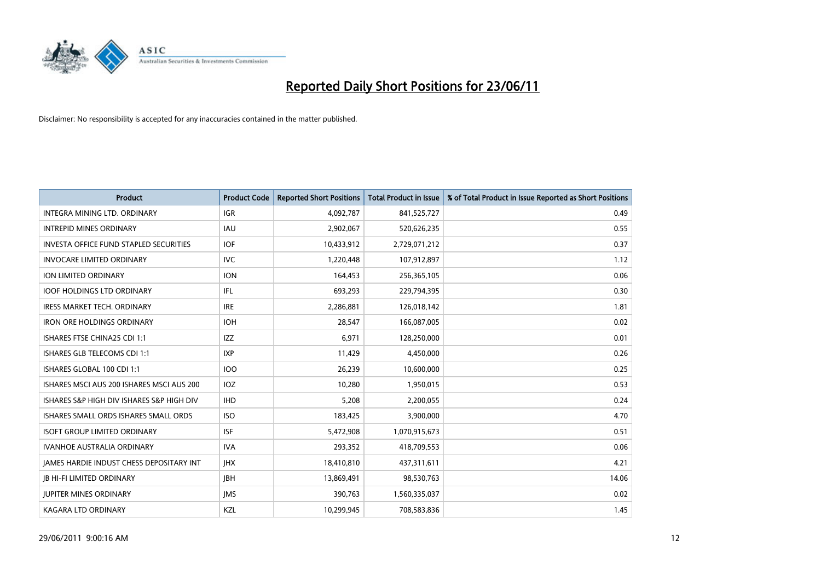

| <b>Product</b>                                  | <b>Product Code</b> | <b>Reported Short Positions</b> | <b>Total Product in Issue</b> | % of Total Product in Issue Reported as Short Positions |
|-------------------------------------------------|---------------------|---------------------------------|-------------------------------|---------------------------------------------------------|
| INTEGRA MINING LTD, ORDINARY                    | <b>IGR</b>          | 4,092,787                       | 841,525,727                   | 0.49                                                    |
| <b>INTREPID MINES ORDINARY</b>                  | IAU                 | 2,902,067                       | 520,626,235                   | 0.55                                                    |
| <b>INVESTA OFFICE FUND STAPLED SECURITIES</b>   | <b>IOF</b>          | 10,433,912                      | 2,729,071,212                 | 0.37                                                    |
| <b>INVOCARE LIMITED ORDINARY</b>                | <b>IVC</b>          | 1,220,448                       | 107,912,897                   | 1.12                                                    |
| ION LIMITED ORDINARY                            | <b>ION</b>          | 164,453                         | 256,365,105                   | 0.06                                                    |
| <b>IOOF HOLDINGS LTD ORDINARY</b>               | IFL                 | 693,293                         | 229,794,395                   | 0.30                                                    |
| <b>IRESS MARKET TECH. ORDINARY</b>              | <b>IRE</b>          | 2,286,881                       | 126,018,142                   | 1.81                                                    |
| <b>IRON ORE HOLDINGS ORDINARY</b>               | <b>IOH</b>          | 28,547                          | 166,087,005                   | 0.02                                                    |
| ISHARES FTSE CHINA25 CDI 1:1                    | IZZ                 | 6,971                           | 128,250,000                   | 0.01                                                    |
| ISHARES GLB TELECOMS CDI 1:1                    | <b>IXP</b>          | 11,429                          | 4,450,000                     | 0.26                                                    |
| ISHARES GLOBAL 100 CDI 1:1                      | 100                 | 26,239                          | 10,600,000                    | 0.25                                                    |
| ISHARES MSCI AUS 200 ISHARES MSCI AUS 200       | <b>IOZ</b>          | 10,280                          | 1,950,015                     | 0.53                                                    |
| ISHARES S&P HIGH DIV ISHARES S&P HIGH DIV       | <b>IHD</b>          | 5,208                           | 2,200,055                     | 0.24                                                    |
| ISHARES SMALL ORDS ISHARES SMALL ORDS           | <b>ISO</b>          | 183,425                         | 3,900,000                     | 4.70                                                    |
| <b>ISOFT GROUP LIMITED ORDINARY</b>             | <b>ISF</b>          | 5,472,908                       | 1,070,915,673                 | 0.51                                                    |
| IVANHOE AUSTRALIA ORDINARY                      | <b>IVA</b>          | 293,352                         | 418,709,553                   | 0.06                                                    |
| <b>JAMES HARDIE INDUST CHESS DEPOSITARY INT</b> | <b>IHX</b>          | 18,410,810                      | 437,311,611                   | 4.21                                                    |
| <b>JB HI-FI LIMITED ORDINARY</b>                | JBH                 | 13,869,491                      | 98,530,763                    | 14.06                                                   |
| <b>IUPITER MINES ORDINARY</b>                   | <b>IMS</b>          | 390,763                         | 1,560,335,037                 | 0.02                                                    |
| <b>KAGARA LTD ORDINARY</b>                      | KZL                 | 10,299,945                      | 708,583,836                   | 1.45                                                    |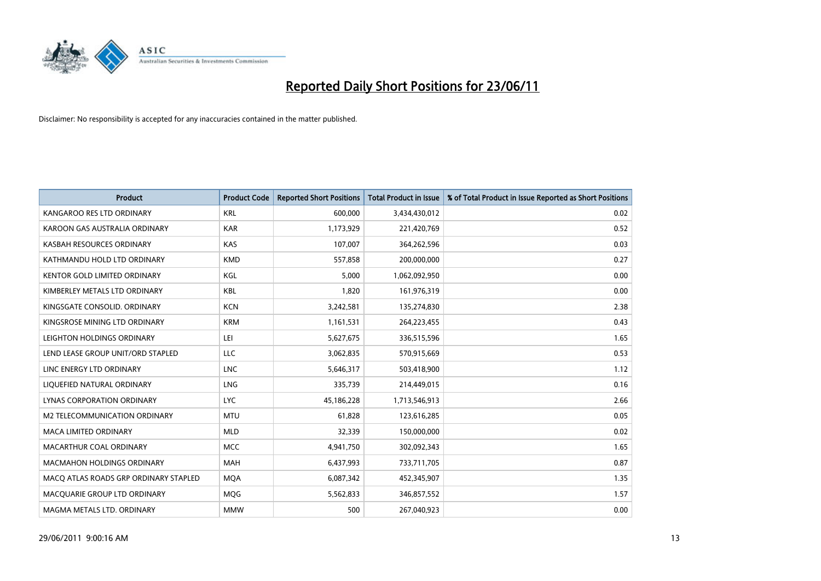

| <b>Product</b>                        | <b>Product Code</b> | <b>Reported Short Positions</b> | <b>Total Product in Issue</b> | % of Total Product in Issue Reported as Short Positions |
|---------------------------------------|---------------------|---------------------------------|-------------------------------|---------------------------------------------------------|
| KANGAROO RES LTD ORDINARY             | <b>KRL</b>          | 600,000                         | 3,434,430,012                 | 0.02                                                    |
| KAROON GAS AUSTRALIA ORDINARY         | <b>KAR</b>          | 1,173,929                       | 221,420,769                   | 0.52                                                    |
| KASBAH RESOURCES ORDINARY             | <b>KAS</b>          | 107,007                         | 364,262,596                   | 0.03                                                    |
| KATHMANDU HOLD LTD ORDINARY           | <b>KMD</b>          | 557,858                         | 200,000,000                   | 0.27                                                    |
| <b>KENTOR GOLD LIMITED ORDINARY</b>   | KGL                 | 5,000                           | 1,062,092,950                 | 0.00                                                    |
| KIMBERLEY METALS LTD ORDINARY         | <b>KBL</b>          | 1,820                           | 161,976,319                   | 0.00                                                    |
| KINGSGATE CONSOLID. ORDINARY          | <b>KCN</b>          | 3,242,581                       | 135,274,830                   | 2.38                                                    |
| KINGSROSE MINING LTD ORDINARY         | <b>KRM</b>          | 1,161,531                       | 264,223,455                   | 0.43                                                    |
| LEIGHTON HOLDINGS ORDINARY            | LEI                 | 5,627,675                       | 336,515,596                   | 1.65                                                    |
| LEND LEASE GROUP UNIT/ORD STAPLED     | <b>LLC</b>          | 3,062,835                       | 570,915,669                   | 0.53                                                    |
| LINC ENERGY LTD ORDINARY              | <b>LNC</b>          | 5,646,317                       | 503,418,900                   | 1.12                                                    |
| LIQUEFIED NATURAL ORDINARY            | <b>LNG</b>          | 335,739                         | 214,449,015                   | 0.16                                                    |
| LYNAS CORPORATION ORDINARY            | <b>LYC</b>          | 45,186,228                      | 1,713,546,913                 | 2.66                                                    |
| <b>M2 TELECOMMUNICATION ORDINARY</b>  | <b>MTU</b>          | 61,828                          | 123,616,285                   | 0.05                                                    |
| <b>MACA LIMITED ORDINARY</b>          | <b>MLD</b>          | 32,339                          | 150,000,000                   | 0.02                                                    |
| MACARTHUR COAL ORDINARY               | <b>MCC</b>          | 4,941,750                       | 302,092,343                   | 1.65                                                    |
| MACMAHON HOLDINGS ORDINARY            | MAH                 | 6,437,993                       | 733,711,705                   | 0.87                                                    |
| MACO ATLAS ROADS GRP ORDINARY STAPLED | <b>MOA</b>          | 6,087,342                       | 452,345,907                   | 1.35                                                    |
| MACQUARIE GROUP LTD ORDINARY          | MQG                 | 5,562,833                       | 346,857,552                   | 1.57                                                    |
| MAGMA METALS LTD. ORDINARY            | <b>MMW</b>          | 500                             | 267,040,923                   | 0.00                                                    |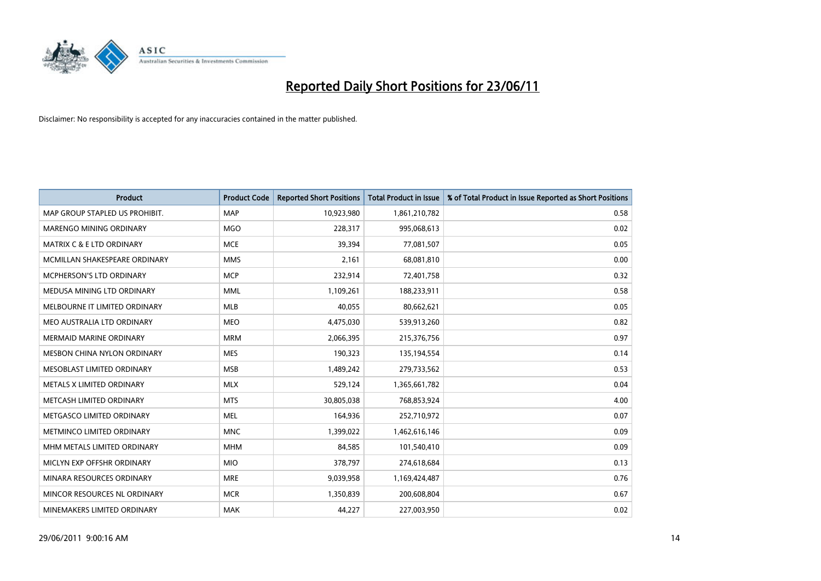

| <b>Product</b>                       | <b>Product Code</b> | <b>Reported Short Positions</b> | <b>Total Product in Issue</b> | % of Total Product in Issue Reported as Short Positions |
|--------------------------------------|---------------------|---------------------------------|-------------------------------|---------------------------------------------------------|
| MAP GROUP STAPLED US PROHIBIT.       | <b>MAP</b>          | 10,923,980                      | 1,861,210,782                 | 0.58                                                    |
| MARENGO MINING ORDINARY              | <b>MGO</b>          | 228,317                         | 995,068,613                   | 0.02                                                    |
| <b>MATRIX C &amp; E LTD ORDINARY</b> | <b>MCE</b>          | 39,394                          | 77,081,507                    | 0.05                                                    |
| MCMILLAN SHAKESPEARE ORDINARY        | <b>MMS</b>          | 2.161                           | 68,081,810                    | 0.00                                                    |
| MCPHERSON'S LTD ORDINARY             | <b>MCP</b>          | 232,914                         | 72,401,758                    | 0.32                                                    |
| MEDUSA MINING LTD ORDINARY           | <b>MML</b>          | 1,109,261                       | 188,233,911                   | 0.58                                                    |
| MELBOURNE IT LIMITED ORDINARY        | <b>MLB</b>          | 40.055                          | 80,662,621                    | 0.05                                                    |
| MEO AUSTRALIA LTD ORDINARY           | <b>MEO</b>          | 4,475,030                       | 539,913,260                   | 0.82                                                    |
| <b>MERMAID MARINE ORDINARY</b>       | <b>MRM</b>          | 2,066,395                       | 215,376,756                   | 0.97                                                    |
| MESBON CHINA NYLON ORDINARY          | <b>MES</b>          | 190,323                         | 135,194,554                   | 0.14                                                    |
| MESOBLAST LIMITED ORDINARY           | <b>MSB</b>          | 1,489,242                       | 279,733,562                   | 0.53                                                    |
| METALS X LIMITED ORDINARY            | <b>MLX</b>          | 529,124                         | 1,365,661,782                 | 0.04                                                    |
| METCASH LIMITED ORDINARY             | <b>MTS</b>          | 30,805,038                      | 768,853,924                   | 4.00                                                    |
| METGASCO LIMITED ORDINARY            | <b>MEL</b>          | 164,936                         | 252,710,972                   | 0.07                                                    |
| METMINCO LIMITED ORDINARY            | <b>MNC</b>          | 1,399,022                       | 1,462,616,146                 | 0.09                                                    |
| MHM METALS LIMITED ORDINARY          | <b>MHM</b>          | 84,585                          | 101,540,410                   | 0.09                                                    |
| MICLYN EXP OFFSHR ORDINARY           | <b>MIO</b>          | 378,797                         | 274,618,684                   | 0.13                                                    |
| MINARA RESOURCES ORDINARY            | <b>MRE</b>          | 9,039,958                       | 1,169,424,487                 | 0.76                                                    |
| MINCOR RESOURCES NL ORDINARY         | <b>MCR</b>          | 1,350,839                       | 200,608,804                   | 0.67                                                    |
| MINEMAKERS LIMITED ORDINARY          | <b>MAK</b>          | 44,227                          | 227,003,950                   | 0.02                                                    |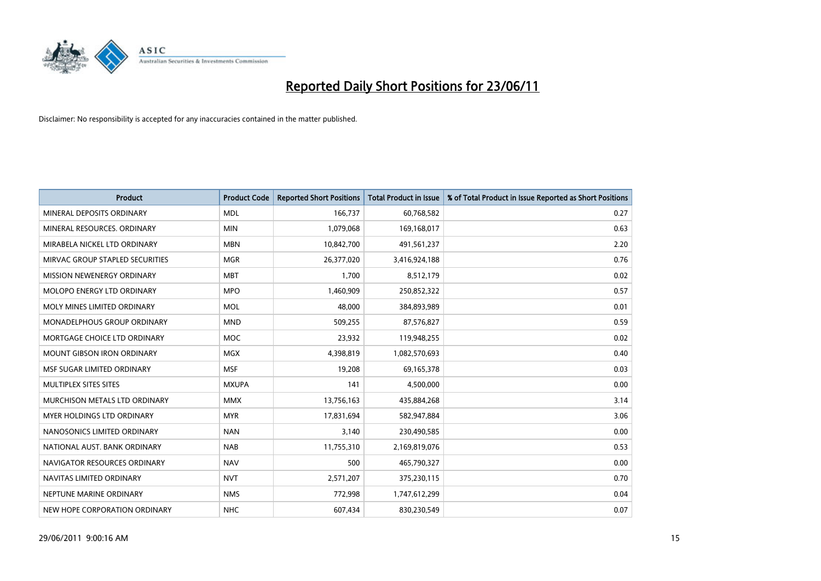

| <b>Product</b>                    | <b>Product Code</b> | <b>Reported Short Positions</b> | <b>Total Product in Issue</b> | % of Total Product in Issue Reported as Short Positions |
|-----------------------------------|---------------------|---------------------------------|-------------------------------|---------------------------------------------------------|
| MINERAL DEPOSITS ORDINARY         | <b>MDL</b>          | 166,737                         | 60,768,582                    | 0.27                                                    |
| MINERAL RESOURCES, ORDINARY       | <b>MIN</b>          | 1,079,068                       | 169,168,017                   | 0.63                                                    |
| MIRABELA NICKEL LTD ORDINARY      | <b>MBN</b>          | 10,842,700                      | 491,561,237                   | 2.20                                                    |
| MIRVAC GROUP STAPLED SECURITIES   | <b>MGR</b>          | 26,377,020                      | 3,416,924,188                 | 0.76                                                    |
| MISSION NEWENERGY ORDINARY        | <b>MBT</b>          | 1,700                           | 8,512,179                     | 0.02                                                    |
| MOLOPO ENERGY LTD ORDINARY        | <b>MPO</b>          | 1,460,909                       | 250,852,322                   | 0.57                                                    |
| MOLY MINES LIMITED ORDINARY       | MOL                 | 48,000                          | 384,893,989                   | 0.01                                                    |
| MONADELPHOUS GROUP ORDINARY       | <b>MND</b>          | 509,255                         | 87,576,827                    | 0.59                                                    |
| MORTGAGE CHOICE LTD ORDINARY      | MOC                 | 23,932                          | 119,948,255                   | 0.02                                                    |
| <b>MOUNT GIBSON IRON ORDINARY</b> | <b>MGX</b>          | 4,398,819                       | 1,082,570,693                 | 0.40                                                    |
| MSF SUGAR LIMITED ORDINARY        | <b>MSF</b>          | 19,208                          | 69,165,378                    | 0.03                                                    |
| MULTIPLEX SITES SITES             | <b>MXUPA</b>        | 141                             | 4,500,000                     | 0.00                                                    |
| MURCHISON METALS LTD ORDINARY     | <b>MMX</b>          | 13,756,163                      | 435,884,268                   | 3.14                                                    |
| MYER HOLDINGS LTD ORDINARY        | <b>MYR</b>          | 17,831,694                      | 582,947,884                   | 3.06                                                    |
| NANOSONICS LIMITED ORDINARY       | <b>NAN</b>          | 3,140                           | 230,490,585                   | 0.00                                                    |
| NATIONAL AUST. BANK ORDINARY      | <b>NAB</b>          | 11,755,310                      | 2,169,819,076                 | 0.53                                                    |
| NAVIGATOR RESOURCES ORDINARY      | <b>NAV</b>          | 500                             | 465,790,327                   | 0.00                                                    |
| NAVITAS LIMITED ORDINARY          | <b>NVT</b>          | 2,571,207                       | 375,230,115                   | 0.70                                                    |
| NEPTUNE MARINE ORDINARY           | <b>NMS</b>          | 772,998                         | 1,747,612,299                 | 0.04                                                    |
| NEW HOPE CORPORATION ORDINARY     | <b>NHC</b>          | 607,434                         | 830,230,549                   | 0.07                                                    |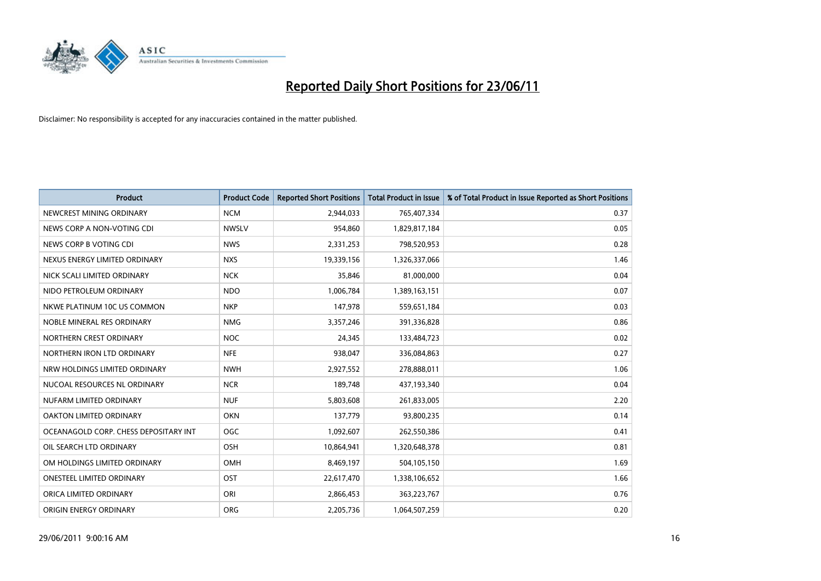

| <b>Product</b>                        | <b>Product Code</b> | <b>Reported Short Positions</b> | <b>Total Product in Issue</b> | % of Total Product in Issue Reported as Short Positions |
|---------------------------------------|---------------------|---------------------------------|-------------------------------|---------------------------------------------------------|
| NEWCREST MINING ORDINARY              | <b>NCM</b>          | 2,944,033                       | 765,407,334                   | 0.37                                                    |
| NEWS CORP A NON-VOTING CDI            | <b>NWSLV</b>        | 954,860                         | 1,829,817,184                 | 0.05                                                    |
| NEWS CORP B VOTING CDI                | <b>NWS</b>          | 2,331,253                       | 798,520,953                   | 0.28                                                    |
| NEXUS ENERGY LIMITED ORDINARY         | <b>NXS</b>          | 19,339,156                      | 1,326,337,066                 | 1.46                                                    |
| NICK SCALI LIMITED ORDINARY           | <b>NCK</b>          | 35,846                          | 81,000,000                    | 0.04                                                    |
| NIDO PETROLEUM ORDINARY               | <b>NDO</b>          | 1,006,784                       | 1,389,163,151                 | 0.07                                                    |
| NKWE PLATINUM 10C US COMMON           | <b>NKP</b>          | 147,978                         | 559,651,184                   | 0.03                                                    |
| NOBLE MINERAL RES ORDINARY            | <b>NMG</b>          | 3,357,246                       | 391,336,828                   | 0.86                                                    |
| NORTHERN CREST ORDINARY               | <b>NOC</b>          | 24,345                          | 133,484,723                   | 0.02                                                    |
| NORTHERN IRON LTD ORDINARY            | <b>NFE</b>          | 938,047                         | 336,084,863                   | 0.27                                                    |
| NRW HOLDINGS LIMITED ORDINARY         | <b>NWH</b>          | 2,927,552                       | 278,888,011                   | 1.06                                                    |
| NUCOAL RESOURCES NL ORDINARY          | <b>NCR</b>          | 189,748                         | 437,193,340                   | 0.04                                                    |
| NUFARM LIMITED ORDINARY               | <b>NUF</b>          | 5,803,608                       | 261,833,005                   | 2.20                                                    |
| OAKTON LIMITED ORDINARY               | <b>OKN</b>          | 137,779                         | 93,800,235                    | 0.14                                                    |
| OCEANAGOLD CORP. CHESS DEPOSITARY INT | <b>OGC</b>          | 1,092,607                       | 262,550,386                   | 0.41                                                    |
| OIL SEARCH LTD ORDINARY               | OSH                 | 10,864,941                      | 1,320,648,378                 | 0.81                                                    |
| OM HOLDINGS LIMITED ORDINARY          | <b>OMH</b>          | 8,469,197                       | 504,105,150                   | 1.69                                                    |
| ONESTEEL LIMITED ORDINARY             | OST                 | 22,617,470                      | 1,338,106,652                 | 1.66                                                    |
| ORICA LIMITED ORDINARY                | ORI                 | 2,866,453                       | 363,223,767                   | 0.76                                                    |
| ORIGIN ENERGY ORDINARY                | <b>ORG</b>          | 2,205,736                       | 1,064,507,259                 | 0.20                                                    |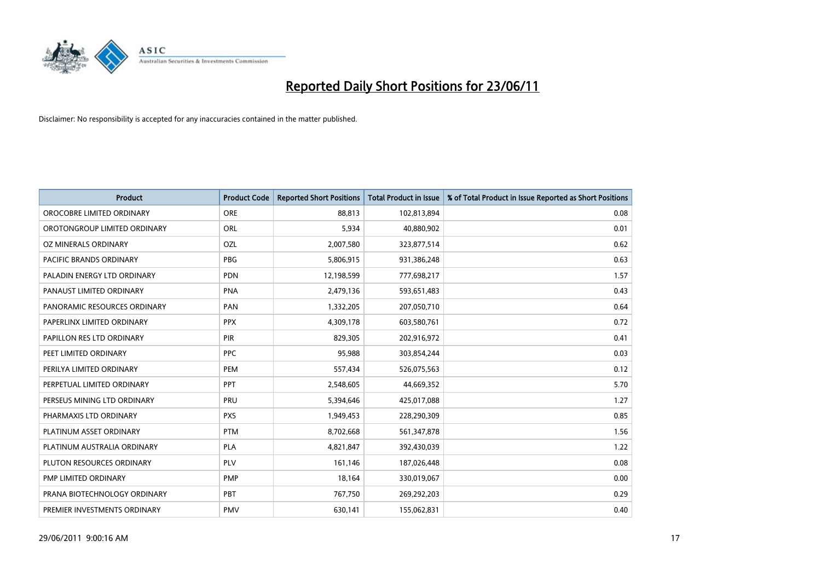

| <b>Product</b>               | <b>Product Code</b> | <b>Reported Short Positions</b> | <b>Total Product in Issue</b> | % of Total Product in Issue Reported as Short Positions |
|------------------------------|---------------------|---------------------------------|-------------------------------|---------------------------------------------------------|
| OROCOBRE LIMITED ORDINARY    | <b>ORE</b>          | 88,813                          | 102,813,894                   | 0.08                                                    |
| OROTONGROUP LIMITED ORDINARY | <b>ORL</b>          | 5,934                           | 40,880,902                    | 0.01                                                    |
| OZ MINERALS ORDINARY         | OZL                 | 2,007,580                       | 323,877,514                   | 0.62                                                    |
| PACIFIC BRANDS ORDINARY      | <b>PBG</b>          | 5,806,915                       | 931,386,248                   | 0.63                                                    |
| PALADIN ENERGY LTD ORDINARY  | <b>PDN</b>          | 12,198,599                      | 777,698,217                   | 1.57                                                    |
| PANAUST LIMITED ORDINARY     | <b>PNA</b>          | 2,479,136                       | 593,651,483                   | 0.43                                                    |
| PANORAMIC RESOURCES ORDINARY | <b>PAN</b>          | 1,332,205                       | 207,050,710                   | 0.64                                                    |
| PAPERLINX LIMITED ORDINARY   | <b>PPX</b>          | 4,309,178                       | 603,580,761                   | 0.72                                                    |
| PAPILLON RES LTD ORDINARY    | PIR                 | 829,305                         | 202,916,972                   | 0.41                                                    |
| PEET LIMITED ORDINARY        | <b>PPC</b>          | 95,988                          | 303,854,244                   | 0.03                                                    |
| PERILYA LIMITED ORDINARY     | PEM                 | 557,434                         | 526,075,563                   | 0.12                                                    |
| PERPETUAL LIMITED ORDINARY   | PPT                 | 2,548,605                       | 44,669,352                    | 5.70                                                    |
| PERSEUS MINING LTD ORDINARY  | PRU                 | 5,394,646                       | 425,017,088                   | 1.27                                                    |
| PHARMAXIS LTD ORDINARY       | <b>PXS</b>          | 1,949,453                       | 228,290,309                   | 0.85                                                    |
| PLATINUM ASSET ORDINARY      | <b>PTM</b>          | 8,702,668                       | 561,347,878                   | 1.56                                                    |
| PLATINUM AUSTRALIA ORDINARY  | <b>PLA</b>          | 4,821,847                       | 392,430,039                   | 1.22                                                    |
| PLUTON RESOURCES ORDINARY    | PLV                 | 161,146                         | 187,026,448                   | 0.08                                                    |
| <b>PMP LIMITED ORDINARY</b>  | <b>PMP</b>          | 18,164                          | 330,019,067                   | 0.00                                                    |
| PRANA BIOTECHNOLOGY ORDINARY | <b>PBT</b>          | 767,750                         | 269,292,203                   | 0.29                                                    |
| PREMIER INVESTMENTS ORDINARY | <b>PMV</b>          | 630,141                         | 155,062,831                   | 0.40                                                    |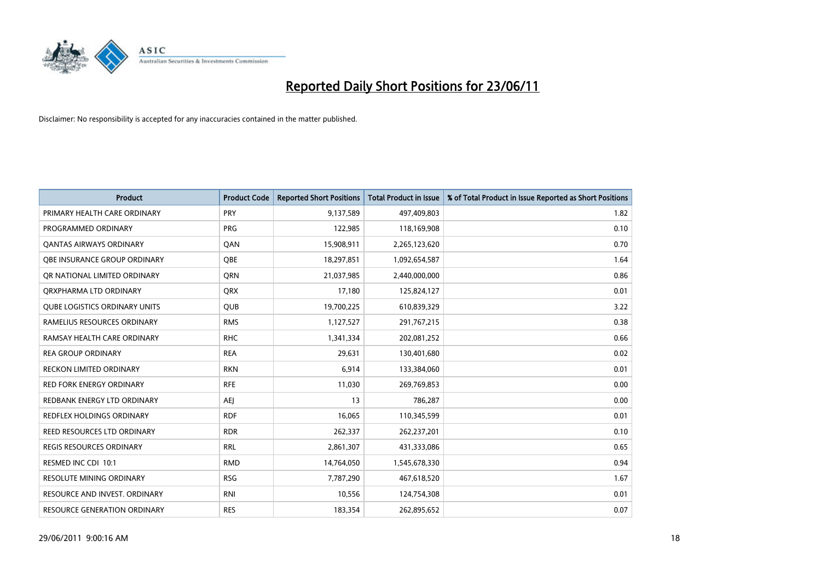

| <b>Product</b>                       | <b>Product Code</b> | <b>Reported Short Positions</b> | <b>Total Product in Issue</b> | % of Total Product in Issue Reported as Short Positions |
|--------------------------------------|---------------------|---------------------------------|-------------------------------|---------------------------------------------------------|
| PRIMARY HEALTH CARE ORDINARY         | <b>PRY</b>          | 9,137,589                       | 497,409,803                   | 1.82                                                    |
| PROGRAMMED ORDINARY                  | <b>PRG</b>          | 122,985                         | 118,169,908                   | 0.10                                                    |
| <b>QANTAS AIRWAYS ORDINARY</b>       | QAN                 | 15,908,911                      | 2,265,123,620                 | 0.70                                                    |
| OBE INSURANCE GROUP ORDINARY         | <b>OBE</b>          | 18,297,851                      | 1,092,654,587                 | 1.64                                                    |
| OR NATIONAL LIMITED ORDINARY         | <b>ORN</b>          | 21,037,985                      | 2,440,000,000                 | 0.86                                                    |
| ORXPHARMA LTD ORDINARY               | QRX                 | 17,180                          | 125,824,127                   | 0.01                                                    |
| <b>QUBE LOGISTICS ORDINARY UNITS</b> | <b>QUB</b>          | 19,700,225                      | 610,839,329                   | 3.22                                                    |
| RAMELIUS RESOURCES ORDINARY          | <b>RMS</b>          | 1,127,527                       | 291,767,215                   | 0.38                                                    |
| RAMSAY HEALTH CARE ORDINARY          | <b>RHC</b>          | 1,341,334                       | 202,081,252                   | 0.66                                                    |
| <b>REA GROUP ORDINARY</b>            | <b>REA</b>          | 29,631                          | 130,401,680                   | 0.02                                                    |
| RECKON LIMITED ORDINARY              | <b>RKN</b>          | 6,914                           | 133,384,060                   | 0.01                                                    |
| <b>RED FORK ENERGY ORDINARY</b>      | <b>RFE</b>          | 11,030                          | 269,769,853                   | 0.00                                                    |
| REDBANK ENERGY LTD ORDINARY          | <b>AEJ</b>          | 13                              | 786,287                       | 0.00                                                    |
| <b>REDFLEX HOLDINGS ORDINARY</b>     | <b>RDF</b>          | 16,065                          | 110,345,599                   | 0.01                                                    |
| <b>REED RESOURCES LTD ORDINARY</b>   | <b>RDR</b>          | 262,337                         | 262,237,201                   | 0.10                                                    |
| <b>REGIS RESOURCES ORDINARY</b>      | <b>RRL</b>          | 2,861,307                       | 431,333,086                   | 0.65                                                    |
| RESMED INC CDI 10:1                  | <b>RMD</b>          | 14,764,050                      | 1,545,678,330                 | 0.94                                                    |
| <b>RESOLUTE MINING ORDINARY</b>      | <b>RSG</b>          | 7,787,290                       | 467,618,520                   | 1.67                                                    |
| RESOURCE AND INVEST. ORDINARY        | <b>RNI</b>          | 10,556                          | 124,754,308                   | 0.01                                                    |
| RESOURCE GENERATION ORDINARY         | <b>RES</b>          | 183,354                         | 262,895,652                   | 0.07                                                    |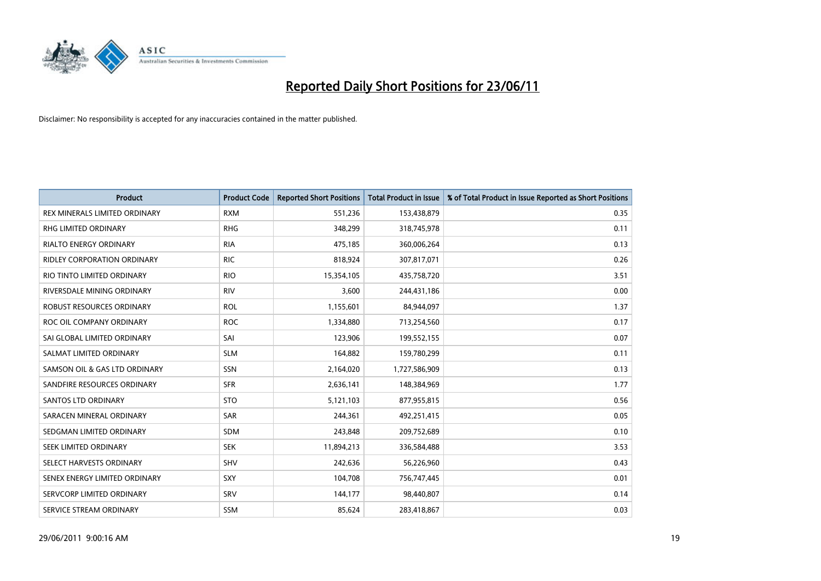

| <b>Product</b>                   | <b>Product Code</b> | <b>Reported Short Positions</b> | <b>Total Product in Issue</b> | % of Total Product in Issue Reported as Short Positions |
|----------------------------------|---------------------|---------------------------------|-------------------------------|---------------------------------------------------------|
| REX MINERALS LIMITED ORDINARY    | <b>RXM</b>          | 551,236                         | 153,438,879                   | 0.35                                                    |
| <b>RHG LIMITED ORDINARY</b>      | <b>RHG</b>          | 348,299                         | 318,745,978                   | 0.11                                                    |
| <b>RIALTO ENERGY ORDINARY</b>    | <b>RIA</b>          | 475,185                         | 360,006,264                   | 0.13                                                    |
| RIDLEY CORPORATION ORDINARY      | <b>RIC</b>          | 818,924                         | 307,817,071                   | 0.26                                                    |
| RIO TINTO LIMITED ORDINARY       | <b>RIO</b>          | 15,354,105                      | 435,758,720                   | 3.51                                                    |
| RIVERSDALE MINING ORDINARY       | <b>RIV</b>          | 3,600                           | 244,431,186                   | 0.00                                                    |
| <b>ROBUST RESOURCES ORDINARY</b> | <b>ROL</b>          | 1,155,601                       | 84,944,097                    | 1.37                                                    |
| ROC OIL COMPANY ORDINARY         | <b>ROC</b>          | 1,334,880                       | 713,254,560                   | 0.17                                                    |
| SAI GLOBAL LIMITED ORDINARY      | SAI                 | 123,906                         | 199,552,155                   | 0.07                                                    |
| SALMAT LIMITED ORDINARY          | <b>SLM</b>          | 164,882                         | 159,780,299                   | 0.11                                                    |
| SAMSON OIL & GAS LTD ORDINARY    | SSN                 | 2,164,020                       | 1,727,586,909                 | 0.13                                                    |
| SANDFIRE RESOURCES ORDINARY      | <b>SFR</b>          | 2,636,141                       | 148,384,969                   | 1.77                                                    |
| SANTOS LTD ORDINARY              | <b>STO</b>          | 5,121,103                       | 877,955,815                   | 0.56                                                    |
| SARACEN MINERAL ORDINARY         | <b>SAR</b>          | 244,361                         | 492,251,415                   | 0.05                                                    |
| SEDGMAN LIMITED ORDINARY         | <b>SDM</b>          | 243,848                         | 209,752,689                   | 0.10                                                    |
| SEEK LIMITED ORDINARY            | <b>SEK</b>          | 11,894,213                      | 336,584,488                   | 3.53                                                    |
| SELECT HARVESTS ORDINARY         | SHV                 | 242,636                         | 56,226,960                    | 0.43                                                    |
| SENEX ENERGY LIMITED ORDINARY    | <b>SXY</b>          | 104,708                         | 756,747,445                   | 0.01                                                    |
| SERVCORP LIMITED ORDINARY        | SRV                 | 144,177                         | 98,440,807                    | 0.14                                                    |
| SERVICE STREAM ORDINARY          | <b>SSM</b>          | 85,624                          | 283,418,867                   | 0.03                                                    |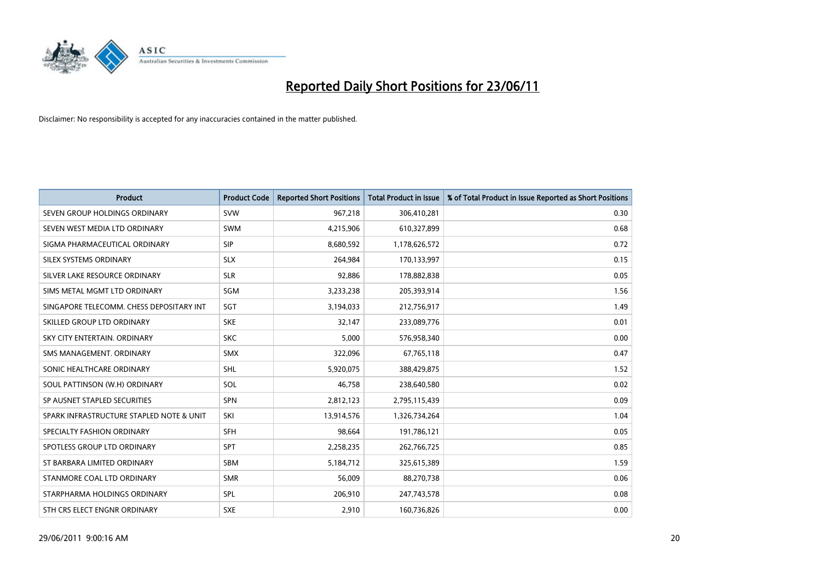

| <b>Product</b>                           | <b>Product Code</b> | <b>Reported Short Positions</b> | <b>Total Product in Issue</b> | % of Total Product in Issue Reported as Short Positions |
|------------------------------------------|---------------------|---------------------------------|-------------------------------|---------------------------------------------------------|
| SEVEN GROUP HOLDINGS ORDINARY            | <b>SVW</b>          | 967,218                         | 306,410,281                   | 0.30                                                    |
| SEVEN WEST MEDIA LTD ORDINARY            | <b>SWM</b>          | 4,215,906                       | 610,327,899                   | 0.68                                                    |
| SIGMA PHARMACEUTICAL ORDINARY            | <b>SIP</b>          | 8,680,592                       | 1,178,626,572                 | 0.72                                                    |
| SILEX SYSTEMS ORDINARY                   | <b>SLX</b>          | 264,984                         | 170,133,997                   | 0.15                                                    |
| SILVER LAKE RESOURCE ORDINARY            | <b>SLR</b>          | 92,886                          | 178,882,838                   | 0.05                                                    |
| SIMS METAL MGMT LTD ORDINARY             | SGM                 | 3,233,238                       | 205,393,914                   | 1.56                                                    |
| SINGAPORE TELECOMM. CHESS DEPOSITARY INT | SGT                 | 3,194,033                       | 212,756,917                   | 1.49                                                    |
| SKILLED GROUP LTD ORDINARY               | <b>SKE</b>          | 32,147                          | 233,089,776                   | 0.01                                                    |
| SKY CITY ENTERTAIN, ORDINARY             | <b>SKC</b>          | 5,000                           | 576,958,340                   | 0.00                                                    |
| SMS MANAGEMENT, ORDINARY                 | <b>SMX</b>          | 322,096                         | 67,765,118                    | 0.47                                                    |
| SONIC HEALTHCARE ORDINARY                | SHL                 | 5,920,075                       | 388,429,875                   | 1.52                                                    |
| SOUL PATTINSON (W.H) ORDINARY            | SOL                 | 46,758                          | 238,640,580                   | 0.02                                                    |
| SP AUSNET STAPLED SECURITIES             | <b>SPN</b>          | 2,812,123                       | 2,795,115,439                 | 0.09                                                    |
| SPARK INFRASTRUCTURE STAPLED NOTE & UNIT | SKI                 | 13,914,576                      | 1,326,734,264                 | 1.04                                                    |
| SPECIALTY FASHION ORDINARY               | SFH                 | 98,664                          | 191,786,121                   | 0.05                                                    |
| SPOTLESS GROUP LTD ORDINARY              | <b>SPT</b>          | 2,258,235                       | 262,766,725                   | 0.85                                                    |
| ST BARBARA LIMITED ORDINARY              | SBM                 | 5,184,712                       | 325,615,389                   | 1.59                                                    |
| STANMORE COAL LTD ORDINARY               | <b>SMR</b>          | 56,009                          | 88,270,738                    | 0.06                                                    |
| STARPHARMA HOLDINGS ORDINARY             | <b>SPL</b>          | 206,910                         | 247,743,578                   | 0.08                                                    |
| STH CRS ELECT ENGNR ORDINARY             | <b>SXE</b>          | 2,910                           | 160,736,826                   | 0.00                                                    |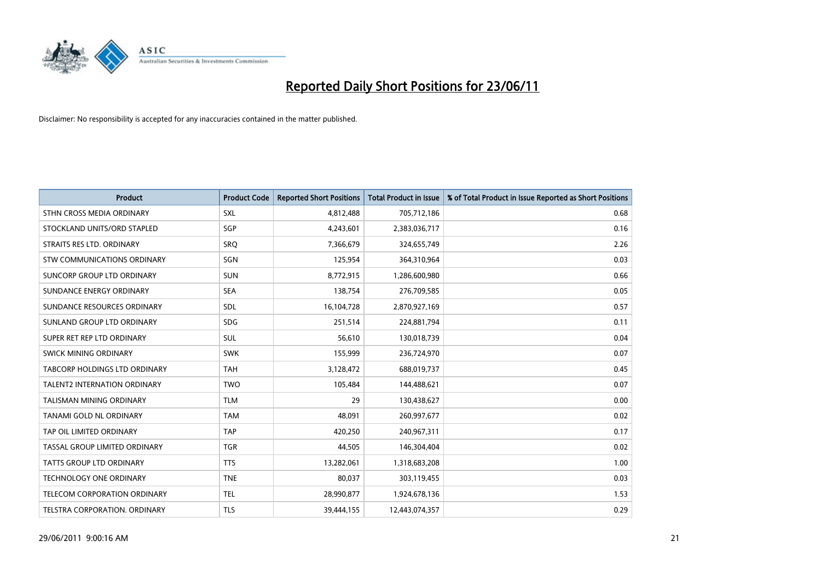

| <b>Product</b>                      | <b>Product Code</b> | <b>Reported Short Positions</b> | <b>Total Product in Issue</b> | % of Total Product in Issue Reported as Short Positions |
|-------------------------------------|---------------------|---------------------------------|-------------------------------|---------------------------------------------------------|
| STHN CROSS MEDIA ORDINARY           | <b>SXL</b>          | 4,812,488                       | 705,712,186                   | 0.68                                                    |
| STOCKLAND UNITS/ORD STAPLED         | SGP                 | 4,243,601                       | 2,383,036,717                 | 0.16                                                    |
| STRAITS RES LTD. ORDINARY           | SRO                 | 7,366,679                       | 324,655,749                   | 2.26                                                    |
| STW COMMUNICATIONS ORDINARY         | SGN                 | 125,954                         | 364,310,964                   | 0.03                                                    |
| <b>SUNCORP GROUP LTD ORDINARY</b>   | <b>SUN</b>          | 8,772,915                       | 1,286,600,980                 | 0.66                                                    |
| SUNDANCE ENERGY ORDINARY            | <b>SEA</b>          | 138,754                         | 276,709,585                   | 0.05                                                    |
| SUNDANCE RESOURCES ORDINARY         | SDL                 | 16,104,728                      | 2,870,927,169                 | 0.57                                                    |
| SUNLAND GROUP LTD ORDINARY          | <b>SDG</b>          | 251,514                         | 224,881,794                   | 0.11                                                    |
| SUPER RET REP LTD ORDINARY          | SUL                 | 56,610                          | 130,018,739                   | 0.04                                                    |
| SWICK MINING ORDINARY               | <b>SWK</b>          | 155,999                         | 236,724,970                   | 0.07                                                    |
| TABCORP HOLDINGS LTD ORDINARY       | <b>TAH</b>          | 3,128,472                       | 688,019,737                   | 0.45                                                    |
| <b>TALENT2 INTERNATION ORDINARY</b> | <b>TWO</b>          | 105,484                         | 144,488,621                   | 0.07                                                    |
| TALISMAN MINING ORDINARY            | <b>TLM</b>          | 29                              | 130,438,627                   | 0.00                                                    |
| TANAMI GOLD NL ORDINARY             | <b>TAM</b>          | 48.091                          | 260,997,677                   | 0.02                                                    |
| TAP OIL LIMITED ORDINARY            | <b>TAP</b>          | 420,250                         | 240,967,311                   | 0.17                                                    |
| TASSAL GROUP LIMITED ORDINARY       | <b>TGR</b>          | 44,505                          | 146,304,404                   | 0.02                                                    |
| <b>TATTS GROUP LTD ORDINARY</b>     | <b>TTS</b>          | 13,282,061                      | 1,318,683,208                 | 1.00                                                    |
| <b>TECHNOLOGY ONE ORDINARY</b>      | <b>TNE</b>          | 80,037                          | 303,119,455                   | 0.03                                                    |
| TELECOM CORPORATION ORDINARY        | <b>TEL</b>          | 28,990,877                      | 1,924,678,136                 | 1.53                                                    |
| TELSTRA CORPORATION, ORDINARY       | <b>TLS</b>          | 39,444,155                      | 12,443,074,357                | 0.29                                                    |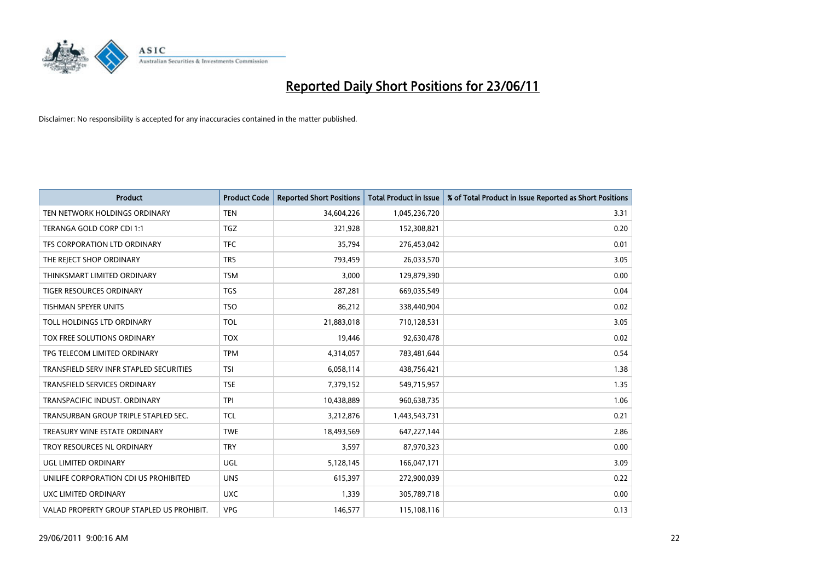

| <b>Product</b>                            | <b>Product Code</b> | <b>Reported Short Positions</b> | <b>Total Product in Issue</b> | % of Total Product in Issue Reported as Short Positions |
|-------------------------------------------|---------------------|---------------------------------|-------------------------------|---------------------------------------------------------|
| TEN NETWORK HOLDINGS ORDINARY             | <b>TEN</b>          | 34,604,226                      | 1,045,236,720                 | 3.31                                                    |
| TERANGA GOLD CORP CDI 1:1                 | <b>TGZ</b>          | 321,928                         | 152,308,821                   | 0.20                                                    |
| TFS CORPORATION LTD ORDINARY              | <b>TFC</b>          | 35,794                          | 276,453,042                   | 0.01                                                    |
| THE REJECT SHOP ORDINARY                  | <b>TRS</b>          | 793,459                         | 26,033,570                    | 3.05                                                    |
| THINKSMART LIMITED ORDINARY               | <b>TSM</b>          | 3,000                           | 129,879,390                   | 0.00                                                    |
| <b>TIGER RESOURCES ORDINARY</b>           | <b>TGS</b>          | 287,281                         | 669,035,549                   | 0.04                                                    |
| <b>TISHMAN SPEYER UNITS</b>               | <b>TSO</b>          | 86,212                          | 338,440,904                   | 0.02                                                    |
| TOLL HOLDINGS LTD ORDINARY                | <b>TOL</b>          | 21,883,018                      | 710,128,531                   | 3.05                                                    |
| TOX FREE SOLUTIONS ORDINARY               | <b>TOX</b>          | 19,446                          | 92,630,478                    | 0.02                                                    |
| TPG TELECOM LIMITED ORDINARY              | <b>TPM</b>          | 4,314,057                       | 783,481,644                   | 0.54                                                    |
| TRANSFIELD SERV INFR STAPLED SECURITIES   | <b>TSI</b>          | 6,058,114                       | 438,756,421                   | 1.38                                                    |
| TRANSFIELD SERVICES ORDINARY              | <b>TSE</b>          | 7,379,152                       | 549,715,957                   | 1.35                                                    |
| TRANSPACIFIC INDUST, ORDINARY             | <b>TPI</b>          | 10,438,889                      | 960,638,735                   | 1.06                                                    |
| TRANSURBAN GROUP TRIPLE STAPLED SEC.      | <b>TCL</b>          | 3,212,876                       | 1,443,543,731                 | 0.21                                                    |
| TREASURY WINE ESTATE ORDINARY             | <b>TWE</b>          | 18,493,569                      | 647,227,144                   | 2.86                                                    |
| TROY RESOURCES NL ORDINARY                | <b>TRY</b>          | 3,597                           | 87,970,323                    | 0.00                                                    |
| UGL LIMITED ORDINARY                      | UGL                 | 5,128,145                       | 166,047,171                   | 3.09                                                    |
| UNILIFE CORPORATION CDI US PROHIBITED     | <b>UNS</b>          | 615,397                         | 272,900,039                   | 0.22                                                    |
| <b>UXC LIMITED ORDINARY</b>               | <b>UXC</b>          | 1,339                           | 305,789,718                   | 0.00                                                    |
| VALAD PROPERTY GROUP STAPLED US PROHIBIT. | <b>VPG</b>          | 146,577                         | 115,108,116                   | 0.13                                                    |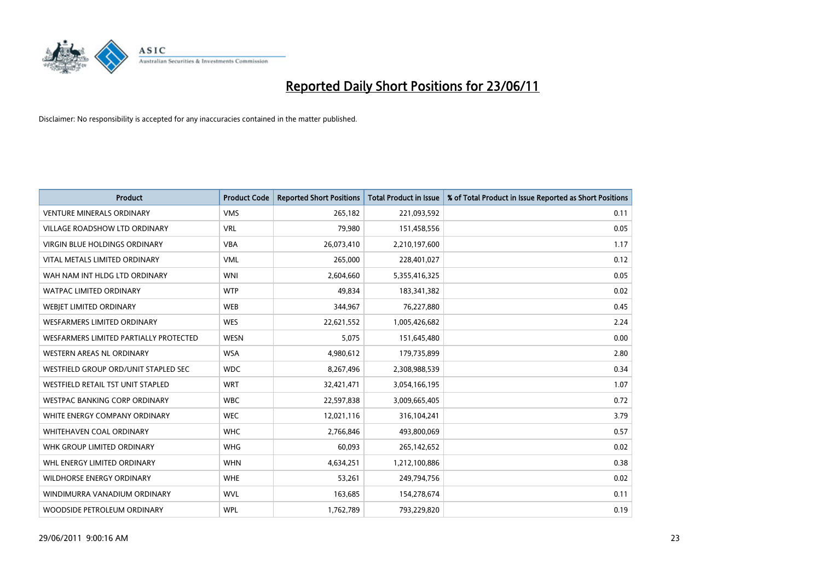

| <b>Product</b>                         | <b>Product Code</b> | <b>Reported Short Positions</b> | <b>Total Product in Issue</b> | % of Total Product in Issue Reported as Short Positions |
|----------------------------------------|---------------------|---------------------------------|-------------------------------|---------------------------------------------------------|
| <b>VENTURE MINERALS ORDINARY</b>       | <b>VMS</b>          | 265,182                         | 221,093,592                   | 0.11                                                    |
| VILLAGE ROADSHOW LTD ORDINARY          | <b>VRL</b>          | 79,980                          | 151,458,556                   | 0.05                                                    |
| <b>VIRGIN BLUE HOLDINGS ORDINARY</b>   | <b>VBA</b>          | 26,073,410                      | 2,210,197,600                 | 1.17                                                    |
| VITAL METALS LIMITED ORDINARY          | <b>VML</b>          | 265,000                         | 228,401,027                   | 0.12                                                    |
| WAH NAM INT HLDG LTD ORDINARY          | <b>WNI</b>          | 2,604,660                       | 5,355,416,325                 | 0.05                                                    |
| <b>WATPAC LIMITED ORDINARY</b>         | <b>WTP</b>          | 49,834                          | 183,341,382                   | 0.02                                                    |
| <b>WEBIET LIMITED ORDINARY</b>         | <b>WEB</b>          | 344,967                         | 76,227,880                    | 0.45                                                    |
| <b>WESFARMERS LIMITED ORDINARY</b>     | <b>WES</b>          | 22,621,552                      | 1,005,426,682                 | 2.24                                                    |
| WESFARMERS LIMITED PARTIALLY PROTECTED | <b>WESN</b>         | 5,075                           | 151,645,480                   | 0.00                                                    |
| <b>WESTERN AREAS NL ORDINARY</b>       | <b>WSA</b>          | 4,980,612                       | 179,735,899                   | 2.80                                                    |
| WESTFIELD GROUP ORD/UNIT STAPLED SEC   | <b>WDC</b>          | 8,267,496                       | 2,308,988,539                 | 0.34                                                    |
| WESTFIELD RETAIL TST UNIT STAPLED      | <b>WRT</b>          | 32,421,471                      | 3,054,166,195                 | 1.07                                                    |
| <b>WESTPAC BANKING CORP ORDINARY</b>   | <b>WBC</b>          | 22,597,838                      | 3,009,665,405                 | 0.72                                                    |
| WHITE ENERGY COMPANY ORDINARY          | <b>WEC</b>          | 12,021,116                      | 316,104,241                   | 3.79                                                    |
| WHITEHAVEN COAL ORDINARY               | <b>WHC</b>          | 2,766,846                       | 493,800,069                   | 0.57                                                    |
| WHK GROUP LIMITED ORDINARY             | <b>WHG</b>          | 60,093                          | 265,142,652                   | 0.02                                                    |
| WHL ENERGY LIMITED ORDINARY            | <b>WHN</b>          | 4,634,251                       | 1,212,100,886                 | 0.38                                                    |
| <b>WILDHORSE ENERGY ORDINARY</b>       | <b>WHE</b>          | 53,261                          | 249,794,756                   | 0.02                                                    |
| WINDIMURRA VANADIUM ORDINARY           | <b>WVL</b>          | 163,685                         | 154,278,674                   | 0.11                                                    |
| WOODSIDE PETROLEUM ORDINARY            | <b>WPL</b>          | 1,762,789                       | 793,229,820                   | 0.19                                                    |